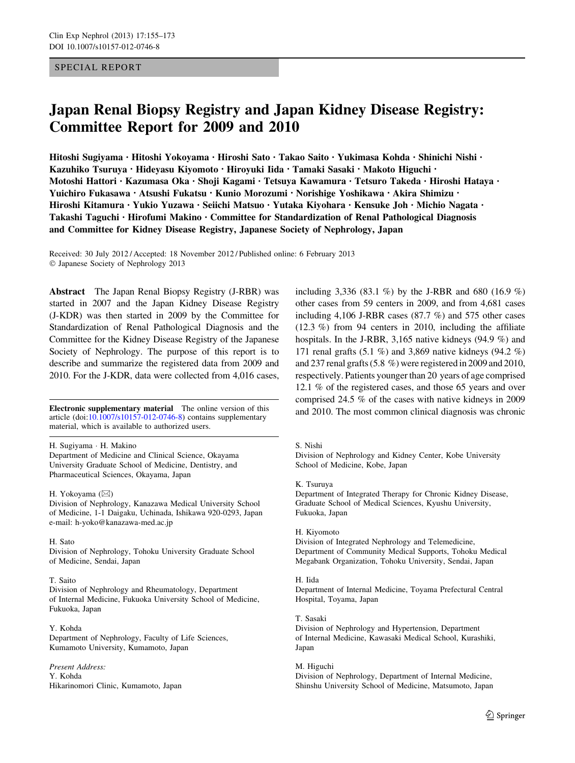# SPECIAL REPORT

# Japan Renal Biopsy Registry and Japan Kidney Disease Registry: Committee Report for 2009 and 2010

Hitoshi Sugiyama • Hitoshi Yokoyama • Hiroshi Sato • Takao Saito • Yukimasa Kohda • Shinichi Nishi • Kazuhiko Tsuruya • Hideyasu Kiyomoto • Hiroyuki Iida • Tamaki Sasaki • Makoto Higuchi • Motoshi Hattori • Kazumasa Oka • Shoji Kagami • Tetsuya Kawamura • Tetsuro Takeda • Hiroshi Hataya • Yuichiro Fukasawa • Atsushi Fukatsu • Kunio Morozumi • Norishige Yoshikawa • Akira Shimizu • Hiroshi Kitamura • Yukio Yuzawa • Seiichi Matsuo • Yutaka Kiyohara • Kensuke Joh • Michio Nagata • Takashi Taguchi • Hirofumi Makino • Committee for Standardization of Renal Pathological Diagnosis and Committee for Kidney Disease Registry, Japanese Society of Nephrology, Japan

Received: 30 July 2012 / Accepted: 18 November 2012 / Published online: 6 February 2013 - Japanese Society of Nephrology 2013

Abstract The Japan Renal Biopsy Registry (J-RBR) was started in 2007 and the Japan Kidney Disease Registry (J-KDR) was then started in 2009 by the Committee for Standardization of Renal Pathological Diagnosis and the Committee for the Kidney Disease Registry of the Japanese Society of Nephrology. The purpose of this report is to describe and summarize the registered data from 2009 and 2010. For the J-KDR, data were collected from 4,016 cases,

article (doi:[10.1007/s10157-012-0746-8\)](http://dx.doi.org/10.1007/s10157-012-0746-8) contains supplementary material, which is available to authorized users.

H. Sugiyama - H. Makino Department of Medicine and Clinical Science, Okayama University Graduate School of Medicine, Dentistry, and Pharmaceutical Sciences, Okayama, Japan

#### H. Yokoyama  $(\boxtimes)$

Division of Nephrology, Kanazawa Medical University School of Medicine, 1-1 Daigaku, Uchinada, Ishikawa 920-0293, Japan e-mail: h-yoko@kanazawa-med.ac.jp

#### H. Sato

Division of Nephrology, Tohoku University Graduate School of Medicine, Sendai, Japan

#### T. Saito

Division of Nephrology and Rheumatology, Department of Internal Medicine, Fukuoka University School of Medicine, Fukuoka, Japan

#### Y. Kohda Department of Nephrology, Faculty of Life Sciences, Kumamoto University, Kumamoto, Japan

# Present Address:

Y. Kohda Hikarinomori Clinic, Kumamoto, Japan

including 3,336 (83.1 %) by the J-RBR and 680 (16.9 %) other cases from 59 centers in 2009, and from 4,681 cases including 4,106 J-RBR cases (87.7 %) and 575 other cases (12.3 %) from 94 centers in 2010, including the affiliate hospitals. In the J-RBR, 3,165 native kidneys (94.9 %) and 171 renal grafts (5.1 %) and 3,869 native kidneys (94.2 %) and 237 renal grafts (5.8 %) were registered in 2009 and 2010, respectively. Patients younger than 20 years of age comprised 12.1 % of the registered cases, and those 65 years and over comprised 24.5 % of the cases with native kidneys in 2009 Electronic supplementary material The online version of this  $\qquad$  and 2010. The most common clinical diagnosis was chronic

#### S. Nishi

Division of Nephrology and Kidney Center, Kobe University School of Medicine, Kobe, Japan

#### K. Tsuruya

Department of Integrated Therapy for Chronic Kidney Disease, Graduate School of Medical Sciences, Kyushu University, Fukuoka, Japan

#### H. Kiyomoto

Division of Integrated Nephrology and Telemedicine, Department of Community Medical Supports, Tohoku Medical Megabank Organization, Tohoku University, Sendai, Japan

#### H. Iida

Department of Internal Medicine, Toyama Prefectural Central Hospital, Toyama, Japan

#### T. Sasaki

Division of Nephrology and Hypertension, Department of Internal Medicine, Kawasaki Medical School, Kurashiki, Japan

# M. Higuchi

Division of Nephrology, Department of Internal Medicine, Shinshu University School of Medicine, Matsumoto, Japan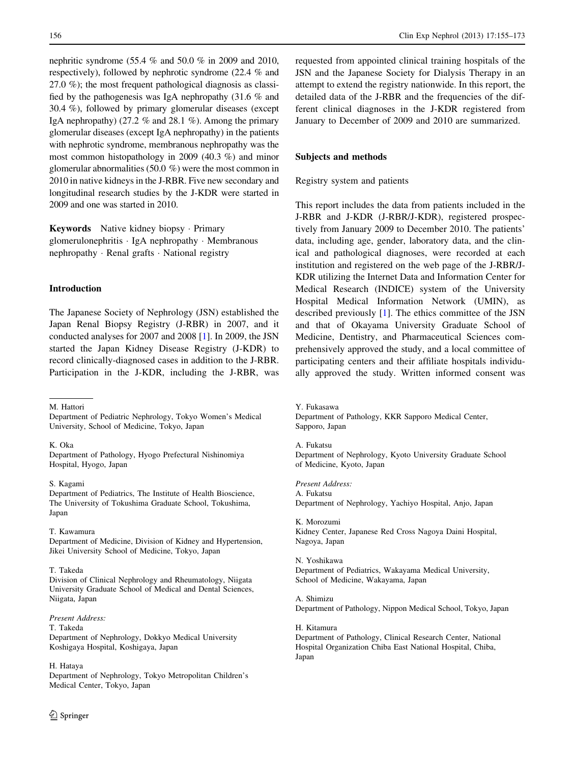<span id="page-1-0"></span>nephritic syndrome (55.4 % and 50.0 % in 2009 and 2010, respectively), followed by nephrotic syndrome (22.4 % and 27.0 %); the most frequent pathological diagnosis as classified by the pathogenesis was IgA nephropathy (31.6 % and 30.4 %), followed by primary glomerular diseases (except IgA nephropathy) (27.2  $%$  and 28.1  $%$ ). Among the primary glomerular diseases (except IgA nephropathy) in the patients with nephrotic syndrome, membranous nephropathy was the most common histopathology in 2009 (40.3 %) and minor glomerular abnormalities (50.0 %) were the most common in 2010 in native kidneys in the J-RBR. Five new secondary and longitudinal research studies by the J-KDR were started in 2009 and one was started in 2010.

Keywords Native kidney biopsy - Primary glomerulonephritis - IgA nephropathy - Membranous nephropathy - Renal grafts - National registry

# Introduction

The Japanese Society of Nephrology (JSN) established the Japan Renal Biopsy Registry (J-RBR) in 2007, and it conducted analyses for 2007 and 2008 [\[1](#page-18-0)]. In 2009, the JSN started the Japan Kidney Disease Registry (J-KDR) to record clinically-diagnosed cases in addition to the J-RBR. Participation in the J-KDR, including the J-RBR, was

#### M. Hattori

Department of Pediatric Nephrology, Tokyo Women's Medical University, School of Medicine, Tokyo, Japan

#### K. Oka

Department of Pathology, Hyogo Prefectural Nishinomiya Hospital, Hyogo, Japan

#### S. Kagami

Department of Pediatrics, The Institute of Health Bioscience, The University of Tokushima Graduate School, Tokushima, Japan

#### T. Kawamura

Department of Medicine, Division of Kidney and Hypertension, Jikei University School of Medicine, Tokyo, Japan

#### T. Takeda

Division of Clinical Nephrology and Rheumatology, Niigata University Graduate School of Medical and Dental Sciences, Niigata, Japan

## Present Address:

#### T. Takeda

Department of Nephrology, Dokkyo Medical University Koshigaya Hospital, Koshigaya, Japan

## H. Hataya

Department of Nephrology, Tokyo Metropolitan Children's Medical Center, Tokyo, Japan

requested from appointed clinical training hospitals of the JSN and the Japanese Society for Dialysis Therapy in an attempt to extend the registry nationwide. In this report, the detailed data of the J-RBR and the frequencies of the different clinical diagnoses in the J-KDR registered from January to December of 2009 and 2010 are summarized.

# Subjects and methods

Registry system and patients

This report includes the data from patients included in the J-RBR and J-KDR (J-RBR/J-KDR), registered prospectively from January 2009 to December 2010. The patients' data, including age, gender, laboratory data, and the clinical and pathological diagnoses, were recorded at each institution and registered on the web page of the J-RBR/J-KDR utilizing the Internet Data and Information Center for Medical Research (INDICE) system of the University Hospital Medical Information Network (UMIN), as described previously [\[1](#page-18-0)]. The ethics committee of the JSN and that of Okayama University Graduate School of Medicine, Dentistry, and Pharmaceutical Sciences comprehensively approved the study, and a local committee of participating centers and their affiliate hospitals individually approved the study. Written informed consent was

#### Y. Fukasawa

Department of Pathology, KKR Sapporo Medical Center, Sapporo, Japan

#### A. Fukatsu

Department of Nephrology, Kyoto University Graduate School of Medicine, Kyoto, Japan

Present Address: A. Fukatsu Department of Nephrology, Yachiyo Hospital, Anjo, Japan

K. Morozumi Kidney Center, Japanese Red Cross Nagoya Daini Hospital, Nagoya, Japan

#### N. Yoshikawa

Department of Pediatrics, Wakayama Medical University, School of Medicine, Wakayama, Japan

A. Shimizu Department of Pathology, Nippon Medical School, Tokyo, Japan

H. Kitamura Department of Pathology, Clinical Research Center, National Hospital Organization Chiba East National Hospital, Chiba, Japan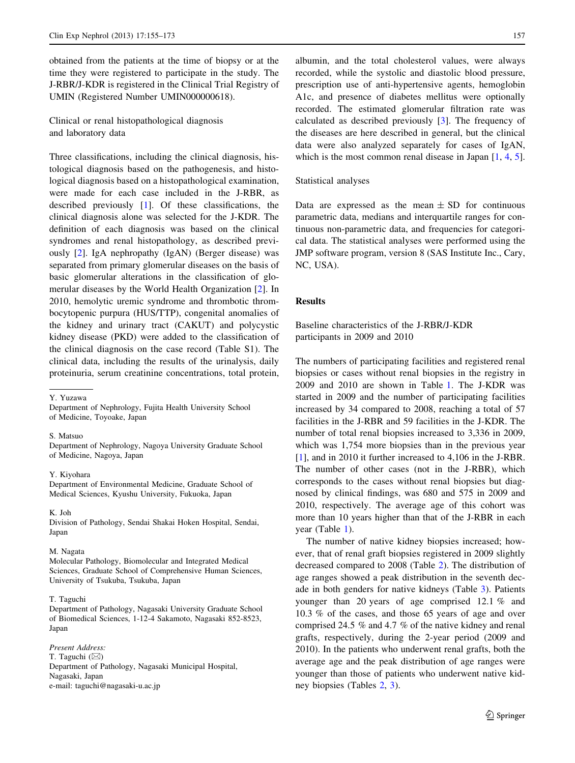obtained from the patients at the time of biopsy or at the time they were registered to participate in the study. The J-RBR/J-KDR is registered in the Clinical Trial Registry of UMIN (Registered Number UMIN000000618).

Clinical or renal histopathological diagnosis and laboratory data

Three classifications, including the clinical diagnosis, histological diagnosis based on the pathogenesis, and histological diagnosis based on a histopathological examination, were made for each case included in the J-RBR, as described previously [[1\]](#page-18-0). Of these classifications, the clinical diagnosis alone was selected for the J-KDR. The definition of each diagnosis was based on the clinical syndromes and renal histopathology, as described previously [\[2](#page-18-0)]. IgA nephropathy (IgAN) (Berger disease) was separated from primary glomerular diseases on the basis of basic glomerular alterations in the classification of glomerular diseases by the World Health Organization [[2\]](#page-18-0). In 2010, hemolytic uremic syndrome and thrombotic thrombocytopenic purpura (HUS/TTP), congenital anomalies of the kidney and urinary tract (CAKUT) and polycystic kidney disease (PKD) were added to the classification of the clinical diagnosis on the case record (Table S1). The clinical data, including the results of the urinalysis, daily proteinuria, serum creatinine concentrations, total protein,

#### S. Matsuo

Department of Nephrology, Nagoya University Graduate School of Medicine, Nagoya, Japan

#### Y. Kiyohara

Department of Environmental Medicine, Graduate School of Medical Sciences, Kyushu University, Fukuoka, Japan

#### K. Joh

Division of Pathology, Sendai Shakai Hoken Hospital, Sendai, Japan

### M. Nagata

Molecular Pathology, Biomolecular and Integrated Medical Sciences, Graduate School of Comprehensive Human Sciences, University of Tsukuba, Tsukuba, Japan

# T. Taguchi

Department of Pathology, Nagasaki University Graduate School of Biomedical Sciences, 1-12-4 Sakamoto, Nagasaki 852-8523, Japan

#### Present Address:

T. Taguchi (&) Department of Pathology, Nagasaki Municipal Hospital, Nagasaki, Japan e-mail: taguchi@nagasaki-u.ac.jp

albumin, and the total cholesterol values, were always recorded, while the systolic and diastolic blood pressure, prescription use of anti-hypertensive agents, hemoglobin A1c, and presence of diabetes mellitus were optionally recorded. The estimated glomerular filtration rate was calculated as described previously [\[3](#page-18-0)]. The frequency of the diseases are here described in general, but the clinical data were also analyzed separately for cases of IgAN, which is the most common renal disease in Japan [[1,](#page-18-0) [4](#page-18-0), [5](#page-18-0)].

## Statistical analyses

Data are expressed as the mean  $\pm$  SD for continuous parametric data, medians and interquartile ranges for continuous non-parametric data, and frequencies for categorical data. The statistical analyses were performed using the JMP software program, version 8 (SAS Institute Inc., Cary, NC, USA).

## Results

Baseline characteristics of the J-RBR/J-KDR participants in 2009 and 2010

The numbers of participating facilities and registered renal biopsies or cases without renal biopsies in the registry in 2009 and 2010 are shown in Table [1.](#page-3-0) The J-KDR was started in 2009 and the number of participating facilities increased by 34 compared to 2008, reaching a total of 57 facilities in the J-RBR and 59 facilities in the J-KDR. The number of total renal biopsies increased to 3,336 in 2009, which was 1,754 more biopsies than in the previous year [\[1](#page-18-0)], and in 2010 it further increased to 4,106 in the J-RBR. The number of other cases (not in the J-RBR), which corresponds to the cases without renal biopsies but diagnosed by clinical findings, was 680 and 575 in 2009 and 2010, respectively. The average age of this cohort was more than 10 years higher than that of the J-RBR in each year (Table [1](#page-3-0)).

The number of native kidney biopsies increased; however, that of renal graft biopsies registered in 2009 slightly decreased compared to 2008 (Table [2](#page-3-0)). The distribution of age ranges showed a peak distribution in the seventh decade in both genders for native kidneys (Table [3](#page-4-0)). Patients younger than 20 years of age comprised 12.1 % and 10.3 % of the cases, and those 65 years of age and over comprised 24.5 % and 4.7 % of the native kidney and renal grafts, respectively, during the 2-year period (2009 and 2010). In the patients who underwent renal grafts, both the average age and the peak distribution of age ranges were younger than those of patients who underwent native kidney biopsies (Tables [2](#page-3-0), [3](#page-4-0)).

Y. Yuzawa

Department of Nephrology, Fujita Health University School of Medicine, Toyoake, Japan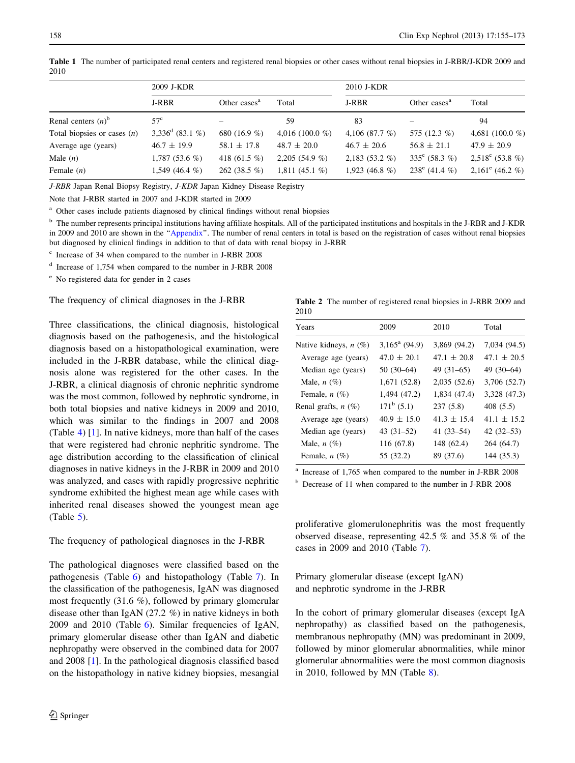|                               | 2009 J-KDR          |                          |                    | 2010 J-KDR       |                          |                             |
|-------------------------------|---------------------|--------------------------|--------------------|------------------|--------------------------|-----------------------------|
|                               | J-RBR               | Other cases <sup>a</sup> | Total              | J-RBR            | Other cases <sup>a</sup> | Total                       |
| Renal centers $(n)^b$         | $57^{\circ}$        |                          | 59                 | 83               |                          | 94                          |
| Total biopsies or cases $(n)$ | 3,336 $^d$ (83.1 %) | 680 $(16.9\%$            | 4,016 (100.0 $%$ ) | 4,106 $(87.7\%)$ | 575 (12.3 %)             | 4,681 (100.0 %)             |
| Average age (years)           | $46.7 \pm 19.9$     | $58.1 \pm 17.8$          | $48.7 \pm 20.0$    | $46.7 \pm 20.6$  | $56.8 \pm 21.1$          | $47.9 \pm 20.9$             |
| Male $(n)$                    | $1,787(53.6\%)$     | 418 (61.5 %)             | $2,205(54.9\%)$    | $2,183(53.2\%)$  | 335 $^{\rm e}$ (58.3 %)  | $2,518^e$ (53.8 %)          |
| Female $(n)$                  | 1,549 (46.4 %)      | 262 (38.5 $%$ )          | 1,811(45.1%)       | 1,923 (46.8 %)   | $238^e$ (41.4 %)         | 2,161 <sup>e</sup> (46.2 %) |
|                               |                     |                          |                    |                  |                          |                             |

<span id="page-3-0"></span>Table 1 The number of participated renal centers and registered renal biopsies or other cases without renal biopsies in J-RBR/J-KDR 2009 and 2010

J-RBR Japan Renal Biopsy Registry, J-KDR Japan Kidney Disease Registry

Note that J-RBR started in 2007 and J-KDR started in 2009

<sup>a</sup> Other cases include patients diagnosed by clinical findings without renal biopsies

<sup>b</sup> The number represents principal institutions having affiliate hospitals. All of the participated institutions and hospitals in the J-RBR and J-KDR in 2009 and 2010 are shown in the ''[Appendix](#page-14-0)''. The number of renal centers in total is based on the registration of cases without renal biopsies but diagnosed by clinical findings in addition to that of data with renal biopsy in J-RBR

<sup>c</sup> Increase of 34 when compared to the number in J-RBR 2008

<sup>d</sup> Increase of 1,754 when compared to the number in J-RBR 2008

<sup>e</sup> No registered data for gender in 2 cases

The frequency of clinical diagnoses in the J-RBR

Three classifications, the clinical diagnosis, histological diagnosis based on the pathogenesis, and the histological diagnosis based on a histopathological examination, were included in the J-RBR database, while the clinical diagnosis alone was registered for the other cases. In the J-RBR, a clinical diagnosis of chronic nephritic syndrome was the most common, followed by nephrotic syndrome, in both total biopsies and native kidneys in 2009 and 2010, which was similar to the findings in 2007 and 2008 (Table [4](#page-5-0)) [[1\]](#page-18-0). In native kidneys, more than half of the cases that were registered had chronic nephritic syndrome. The age distribution according to the classification of clinical diagnoses in native kidneys in the J-RBR in 2009 and 2010 was analyzed, and cases with rapidly progressive nephritic syndrome exhibited the highest mean age while cases with inherited renal diseases showed the youngest mean age (Table [5](#page-6-0)).

## The frequency of pathological diagnoses in the J-RBR

The pathological diagnoses were classified based on the pathogenesis (Table [6](#page-7-0)) and histopathology (Table [7\)](#page-8-0). In the classification of the pathogenesis, IgAN was diagnosed most frequently (31.6 %), followed by primary glomerular disease other than IgAN (27.2 %) in native kidneys in both 2009 and 2010 (Table [6\)](#page-7-0). Similar frequencies of IgAN, primary glomerular disease other than IgAN and diabetic nephropathy were observed in the combined data for 2007 and 2008 [\[1](#page-18-0)]. In the pathological diagnosis classified based on the histopathology in native kidney biopsies, mesangial

Table 2 The number of registered renal biopsies in J-RBR 2009 and 2010

| Years                   | 2009                   | 2010            | Total           |
|-------------------------|------------------------|-----------------|-----------------|
| Native kidneys, $n$ (%) | $3,165^{\rm a}$ (94.9) | 3,869 (94.2)    | 7,034 (94.5)    |
| Average age (years)     | $47.0 \pm 20.1$        | $47.1 \pm 20.8$ | $47.1 \pm 20.5$ |
| Median age (years)      | $50(30-64)$            | $49(31-65)$     | $49(30-64)$     |
| Male, $n(\%)$           | 1,671(52.8)            | 2,035(52.6)     | 3,706 (52.7)    |
| Female, $n$ (%)         | 1,494 (47.2)           | 1,834 (47.4)    | 3,328 (47.3)    |
| Renal grafts, $n$ (%)   | $171^b$ (5.1)          | 237(5.8)        | 408(5.5)        |
| Average age (years)     | $40.9 \pm 15.0$        | $41.3 \pm 15.4$ | $41.1 \pm 15.2$ |
| Median age (years)      | $43(31-52)$            | $41(33 - 54)$   | $42(32 - 53)$   |
| Male, $n$ $(\%)$        | 116 (67.8)             | 148 (62.4)      | 264 (64.7)      |
| Female, $n$ (%)         | 55 (32.2)              | 89 (37.6)       | 144 (35.3)      |
|                         |                        |                 |                 |

<sup>a</sup> Increase of 1,765 when compared to the number in J-RBR 2008

<sup>b</sup> Decrease of 11 when compared to the number in J-RBR 2008

proliferative glomerulonephritis was the most frequently observed disease, representing 42.5 % and 35.8 % of the cases in 2009 and 2010 (Table [7\)](#page-8-0).

Primary glomerular disease (except IgAN) and nephrotic syndrome in the J-RBR

In the cohort of primary glomerular diseases (except IgA nephropathy) as classified based on the pathogenesis, membranous nephropathy (MN) was predominant in 2009, followed by minor glomerular abnormalities, while minor glomerular abnormalities were the most common diagnosis in 2010, followed by MN (Table [8](#page-8-0)).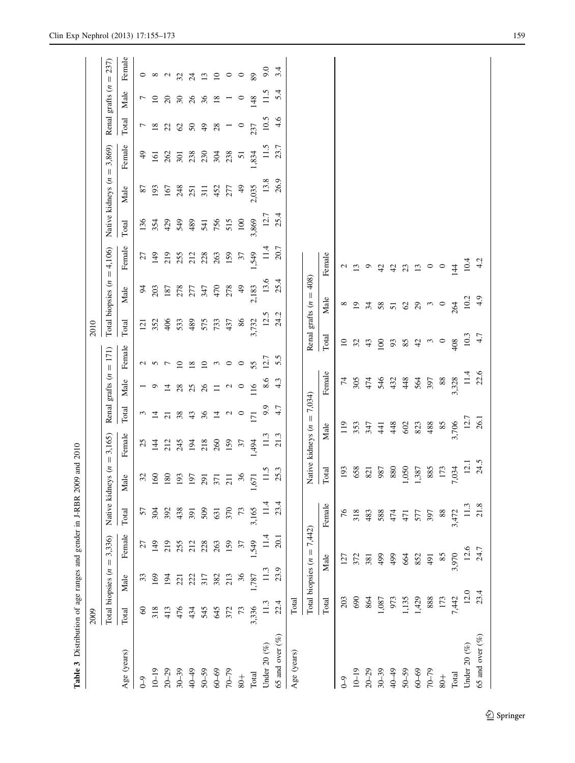<span id="page-4-0"></span>

|                        | 2009     |                              |                              |                   |                                                 |                       |                |                                                  |                                                     | 2010                       |                              |                   |                                           |                                          |                                              |                |                          |                                                                                                                                                        |
|------------------------|----------|------------------------------|------------------------------|-------------------|-------------------------------------------------|-----------------------|----------------|--------------------------------------------------|-----------------------------------------------------|----------------------------|------------------------------|-------------------|-------------------------------------------|------------------------------------------|----------------------------------------------|----------------|--------------------------|--------------------------------------------------------------------------------------------------------------------------------------------------------|
|                        |          | Total biopsies $(n = 3,336)$ |                              |                   | Native kidneys $(n = 3,165)$                    |                       |                | Renal grafts $(n = 171)$                         |                                                     |                            | Total biopsies $(n = 4,106)$ |                   |                                           | Native kidneys $(n = 3,869)$             |                                              |                | Renal grafts $(n = 237)$ |                                                                                                                                                        |
| Age (years)            | Total    | Male                         | Female                       | Total             | Male                                            | Female                | Total          | Male                                             | Female                                              | Total                      | Male                         | Female            | Total                                     | Male                                     | Female                                       | Total          | Male                     | Female                                                                                                                                                 |
| $6 - 0$                | $\infty$ | 33                           | 27                           | 57                |                                                 |                       |                |                                                  |                                                     |                            |                              |                   |                                           | $87\,$                                   |                                              |                |                          |                                                                                                                                                        |
| $10 - 19$              | 318      | 169                          | 149                          | 304               | $\begin{array}{c} 32 \\ 160 \end{array}$        | $^{25}$ $\,$ $\!$     | $\frac{1}{4}$  |                                                  | 257                                                 | $121$<br>352               | $\frac{3}{20}$               | $\frac{27}{149}$  | 136<br>354                                | 193                                      | $49$ $\phantom{1}161$                        | $\frac{6}{18}$ | 7988882                  | $\circ$ $\infty$                                                                                                                                       |
| $20 - 29$              | 413      | 194                          | 219                          |                   | 180                                             |                       | $\overline{c}$ | $\overline{4}$                                   |                                                     | 406                        | 187                          | 219               | 429                                       | 167                                      | 262                                          |                |                          | $\sim$                                                                                                                                                 |
| $30 - 39$<br>40 - 49   | 476      | 221                          | 255                          | $392$<br>438      | 193                                             |                       | 899700         |                                                  | $\overline{10}$                                     | 533<br>489                 | 278                          | 255<br>212<br>228 | 549<br>489                                | $\begin{array}{c} 28 \\ 251 \end{array}$ | $\begin{array}{c} 30 \\ 20 \\ 3 \end{array}$ | $28998 - 97$   |                          | $\begin{array}{c} \mathfrak{A} \mathfrak{A} \mathfrak{A} \mathfrak{A} \mathfrak{A} \end{array} \begin{array}{c} \mathfrak{A} \mathfrak{A} \end{array}$ |
|                        | 434      | 222                          | 212                          |                   |                                                 |                       |                |                                                  |                                                     |                            | 277                          |                   |                                           |                                          |                                              |                |                          |                                                                                                                                                        |
| $50 - 59$<br>$60 - 69$ | 545      | 317                          | 228                          | 391<br>509        | $\frac{197}{291}$                               |                       |                | $\begin{array}{c} 28 \\ 25 \\ 26 \\ \end{array}$ | $\begin{array}{c} 2000 \\ 2100 \\ 2100 \end{array}$ |                            | 347                          |                   | 541                                       |                                          |                                              |                |                          |                                                                                                                                                        |
|                        | 645      | 382                          | 263                          | $\frac{631}{370}$ | $\begin{array}{c} 371 \\ 211 \\ 36 \end{array}$ |                       |                |                                                  |                                                     | 575<br>733                 | 470                          | 263               | 756                                       | 452<br>277                               | $304$<br>$238$                               |                |                          |                                                                                                                                                        |
| 70-79                  | 372      | 213                          | 159                          |                   |                                                 |                       |                |                                                  |                                                     | 437                        | 278                          | 159               |                                           |                                          |                                              |                |                          |                                                                                                                                                        |
| $\pm08$                | 73       | 36                           | $\overline{\mathcal{E}}$     |                   |                                                 | $\overline{37}$       |                | $\sim$ 0                                         |                                                     | 86                         |                              | 1,549             | $\begin{array}{c} 515 \\ 100 \end{array}$ | 49                                       | $\overline{5}$                               |                | $\circ$                  |                                                                                                                                                        |
| <b>Total</b>           | 3,336    | 1,787                        | 1,549                        | 3,165             | $1,671$                                         |                       | 171            | 116                                              | 55                                                  | 3,732                      | 49<br>2,183                  |                   | 3,869                                     | 2,035                                    | 1,834                                        |                | $\frac{48}{5}$           | 89                                                                                                                                                     |
| Under 20 $(\%)$        | 11.3     | 11.3                         | 11.4                         | 11.4              | 11.5                                            | $1,494$<br>11.3       | 6.6            | 8.6                                              | 12.7                                                | 12.5                       | 13.6                         | 11.4              | 12.7                                      | 13.8                                     | 11.5                                         | 10.5           | 11.5                     | 9.0                                                                                                                                                    |
| 65 and over $(\%)$     | 22.4     | 23.9                         | 20.1                         | 23.4              | 25.3                                            | 21.3                  | 4.7            | 4.3                                              | 5.5                                                 | 24.2                       | 25.4                         | 20.7              | 25.4                                      | 26.9                                     | 23.7                                         | 4.6            | 5.4                      | 3.4                                                                                                                                                    |
| Age (years)            | Total    |                              |                              |                   |                                                 |                       |                |                                                  |                                                     |                            |                              |                   |                                           |                                          |                                              |                |                          |                                                                                                                                                        |
|                        |          |                              | Total biopsies $(n = 7,442)$ |                   |                                                 | Native kidneys $(n =$ | 7,034)         |                                                  |                                                     | Renal grafts ( $n = 408$ ) |                              |                   |                                           |                                          |                                              |                |                          |                                                                                                                                                        |
|                        | Total    |                              | Male                         | Female            | Total                                           | Male                  |                | Female                                           | Total                                               |                            | Male                         | Female            |                                           |                                          |                                              |                |                          |                                                                                                                                                        |
| $\sqrt{2}$             | $203$    |                              | 127                          | 76                | 193                                             |                       |                |                                                  |                                                     |                            | $\infty$                     | $\mathbf{c}$      |                                           |                                          |                                              |                |                          |                                                                                                                                                        |
| $10 - 19$              | 690      |                              | 372                          | 318               | 658                                             | $119$ $353$           |                | $74$ $305$<br>$474$                              | $9 3 4$                                             |                            | $\overline{19}$              | $\mathbf{r}$      |                                           |                                          |                                              |                |                          |                                                                                                                                                        |
| $20 - 29$              | 864      |                              | 381                          |                   | 821                                             | 347                   |                |                                                  |                                                     | 34                         |                              | $\circ$           |                                           |                                          |                                              |                |                          |                                                                                                                                                        |
| $30 - 39$              | 1,087    |                              | 499                          |                   | 987                                             | $\overline{4}$        |                |                                                  | $100\,$                                             | 58                         |                              | 42                |                                           |                                          |                                              |                |                          |                                                                                                                                                        |
|                        | 973      |                              | 499                          | $483588471$       | 880                                             | 448                   |                | 546<br>432                                       |                                                     |                            |                              |                   |                                           |                                          |                                              |                |                          |                                                                                                                                                        |
| $40 - 49$<br>50-59     | 1,135    |                              | 664                          |                   | 1,050                                           | $602\,$               |                | 448                                              |                                                     | 52 3                       |                              | 423               |                                           |                                          |                                              |                |                          |                                                                                                                                                        |
| $60 - 69$              | 1,429    |                              | 852                          | 577<br>397        | 1,387                                           | $823 \over 488$       |                | 564                                              |                                                     |                            |                              |                   |                                           |                                          |                                              |                |                          |                                                                                                                                                        |
| $70 - 79$              | 888      |                              | 491                          |                   | 885                                             |                       |                | 397                                              |                                                     |                            |                              | $\circ$           |                                           |                                          |                                              |                |                          |                                                                                                                                                        |
| $\overset{+}{\circ}$   | 173      |                              | $85\,$                       | 88                | 173                                             |                       | $85\,$         | 88                                               | 9.834008                                            | $\frac{3}{264}$            |                              | $\circ$           |                                           |                                          |                                              |                |                          |                                                                                                                                                        |
| <b>Total</b>           | 7,442    |                              | 3,970                        | 3,472             | 7,034                                           |                       |                | 3,328                                            |                                                     |                            |                              | $\dot{4}$         |                                           |                                          |                                              |                |                          |                                                                                                                                                        |
| Under 20 (%)           | 12.0     |                              | 12.6                         |                   | 12.1                                            | $3,706$<br>12.7       |                | 11.4                                             | 10.3                                                |                            | 10.2                         | 10.4              |                                           |                                          |                                              |                |                          |                                                                                                                                                        |
| 65 and over $(\%)$     | 23.4     |                              | 24.7                         | 21.8              | 24.5                                            |                       | 26.1           | 22.6                                             | 4.7                                                 |                            | 4.9                          | $\frac{2}{4}$     |                                           |                                          |                                              |                |                          |                                                                                                                                                        |

Table 3 Distribution of age ranges and gender in J-RBR 2009 and 2010 Table 3 Distribution of age ranges and gender in J-RBR 2009 and 2010

 $\underline{\textcircled{\tiny 2}}$  Springer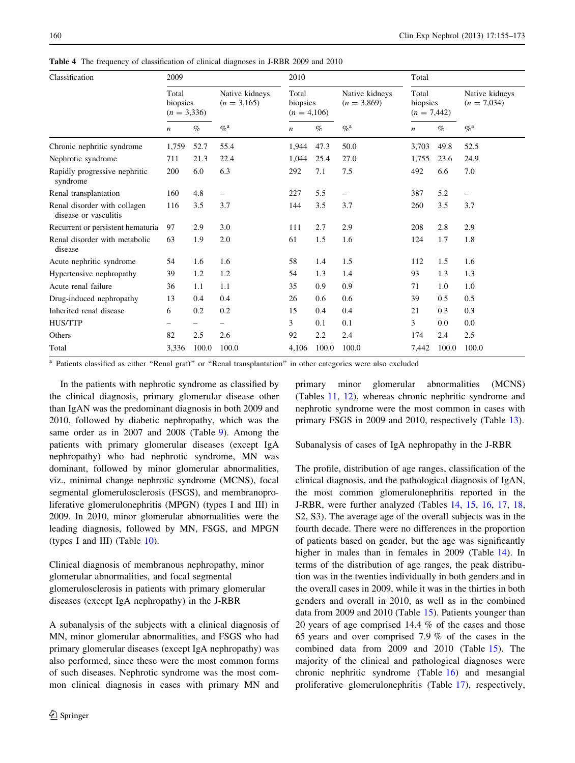| Classification                                        | 2009                               |       |                                 | 2010                               |       |                                 | Total                              |       |                                 |
|-------------------------------------------------------|------------------------------------|-------|---------------------------------|------------------------------------|-------|---------------------------------|------------------------------------|-------|---------------------------------|
|                                                       | Total<br>biopsies<br>$(n = 3,336)$ |       | Native kidneys<br>$(n = 3,165)$ | Total<br>biopsies<br>$(n = 4,106)$ |       | Native kidneys<br>$(n = 3,869)$ | Total<br>biopsies<br>$(n = 7,442)$ |       | Native kidneys<br>$(n = 7,034)$ |
|                                                       | $\boldsymbol{n}$                   | $\%$  | $\% ^{\rm a}$                   | n                                  | $\%$  | $\% ^{\rm a}$                   | $\boldsymbol{n}$                   | $\%$  | $\%^{\rm a}$                    |
| Chronic nephritic syndrome                            | 1,759                              | 52.7  | 55.4                            | 1,944                              | 47.3  | 50.0                            | 3,703                              | 49.8  | 52.5                            |
| Nephrotic syndrome                                    | 711                                | 21.3  | 22.4                            | 1,044                              | 25.4  | 27.0                            | 1,755                              | 23.6  | 24.9                            |
| Rapidly progressive nephritic<br>syndrome             | 200                                | 6.0   | 6.3                             | 292                                | 7.1   | 7.5                             | 492                                | 6.6   | 7.0                             |
| Renal transplantation                                 | 160                                | 4.8   |                                 | 227                                | 5.5   | $\overline{\phantom{0}}$        | 387                                | 5.2   | $\overline{\phantom{0}}$        |
| Renal disorder with collagen<br>disease or vasculitis | 116                                | 3.5   | 3.7                             | 144                                | 3.5   | 3.7                             | 260                                | 3.5   | 3.7                             |
| Recurrent or persistent hematuria                     | 97                                 | 2.9   | 3.0                             | 111                                | 2.7   | 2.9                             | 208                                | 2.8   | 2.9                             |
| Renal disorder with metabolic<br>disease              | 63                                 | 1.9   | 2.0                             | 61                                 | 1.5   | 1.6                             | 124                                | 1.7   | 1.8                             |
| Acute nephritic syndrome                              | 54                                 | 1.6   | 1.6                             | 58                                 | 1.4   | 1.5                             | 112                                | 1.5   | 1.6                             |
| Hypertensive nephropathy                              | 39                                 | 1.2   | 1.2                             | 54                                 | 1.3   | 1.4                             | 93                                 | 1.3   | 1.3                             |
| Acute renal failure                                   | 36                                 | 1.1   | 1.1                             | 35                                 | 0.9   | 0.9                             | 71                                 | 1.0   | 1.0                             |
| Drug-induced nephropathy                              | 13                                 | 0.4   | 0.4                             | 26                                 | 0.6   | 0.6                             | 39                                 | 0.5   | 0.5                             |
| Inherited renal disease                               | 6                                  | 0.2   | 0.2                             | 15                                 | 0.4   | 0.4                             | 21                                 | 0.3   | 0.3                             |
| <b>HUS/TTP</b>                                        |                                    |       | $\overline{\phantom{0}}$        | 3                                  | 0.1   | 0.1                             | 3                                  | 0.0   | 0.0                             |
| Others                                                | 82                                 | 2.5   | 2.6                             | 92                                 | 2.2   | 2.4                             | 174                                | 2.4   | 2.5                             |
| Total                                                 | 3,336                              | 100.0 | 100.0                           | 4,106                              | 100.0 | 100.0                           | 7,442                              | 100.0 | 100.0                           |

<span id="page-5-0"></span>Table 4 The frequency of classification of clinical diagnoses in J-RBR 2009 and 2010

<sup>a</sup> Patients classified as either "Renal graft" or "Renal transplantation" in other categories were also excluded

In the patients with nephrotic syndrome as classified by the clinical diagnosis, primary glomerular disease other than IgAN was the predominant diagnosis in both 2009 and 2010, followed by diabetic nephropathy, which was the same order as in 2007 and 2008 (Table [9](#page-9-0)). Among the patients with primary glomerular diseases (except IgA nephropathy) who had nephrotic syndrome, MN was dominant, followed by minor glomerular abnormalities, viz., minimal change nephrotic syndrome (MCNS), focal segmental glomerulosclerosis (FSGS), and membranoproliferative glomerulonephritis (MPGN) (types I and III) in 2009. In 2010, minor glomerular abnormalities were the leading diagnosis, followed by MN, FSGS, and MPGN (types I and III) (Table [10](#page-9-0)).

Clinical diagnosis of membranous nephropathy, minor glomerular abnormalities, and focal segmental glomerulosclerosis in patients with primary glomerular diseases (except IgA nephropathy) in the J-RBR

A subanalysis of the subjects with a clinical diagnosis of MN, minor glomerular abnormalities, and FSGS who had primary glomerular diseases (except IgA nephropathy) was also performed, since these were the most common forms of such diseases. Nephrotic syndrome was the most common clinical diagnosis in cases with primary MN and primary minor glomerular abnormalities (MCNS) (Tables [11](#page-10-0), [12\)](#page-10-0), whereas chronic nephritic syndrome and nephrotic syndrome were the most common in cases with primary FSGS in 2009 and 2010, respectively (Table [13](#page-11-0)).

Subanalysis of cases of IgA nephropathy in the J-RBR

The profile, distribution of age ranges, classification of the clinical diagnosis, and the pathological diagnosis of IgAN, the most common glomerulonephritis reported in the J-RBR, were further analyzed (Tables [14,](#page-11-0) [15,](#page-11-0) [16](#page-12-0), [17](#page-12-0), [18,](#page-13-0) S2, S3). The average age of the overall subjects was in the fourth decade. There were no differences in the proportion of patients based on gender, but the age was significantly higher in males than in females in 2009 (Table [14](#page-11-0)). In terms of the distribution of age ranges, the peak distribution was in the twenties individually in both genders and in the overall cases in 2009, while it was in the thirties in both genders and overall in 2010, as well as in the combined data from 2009 and 2010 (Table [15\)](#page-11-0). Patients younger than 20 years of age comprised 14.4 % of the cases and those 65 years and over comprised 7.9 % of the cases in the combined data from 2009 and 2010 (Table [15](#page-11-0)). The majority of the clinical and pathological diagnoses were chronic nephritic syndrome (Table [16\)](#page-12-0) and mesangial proliferative glomerulonephritis (Table [17](#page-12-0)), respectively,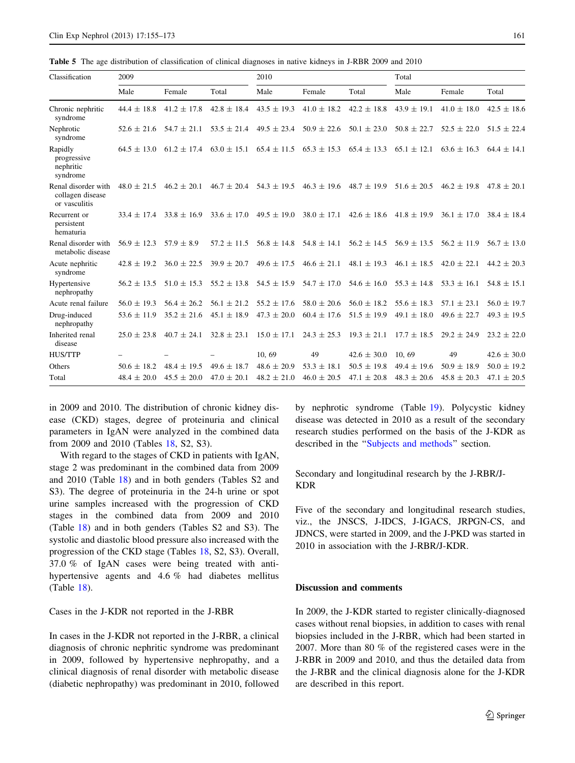<span id="page-6-0"></span>Table 5 The age distribution of classification of clinical diagnoses in native kidneys in J-RBR 2009 and 2010

| Classification                                           | 2009            |                 |                 | 2010            |                 |                 | Total           |                 |                 |
|----------------------------------------------------------|-----------------|-----------------|-----------------|-----------------|-----------------|-----------------|-----------------|-----------------|-----------------|
|                                                          | Male            | Female          | Total           | Male            | Female          | Total           | Male            | Female          | Total           |
| Chronic nephritic<br>syndrome                            | $44.4 \pm 18.8$ | $41.2 \pm 17.8$ | $42.8 \pm 18.4$ | $43.5 \pm 19.3$ | $41.0 \pm 18.2$ | $42.2 \pm 18.8$ | $43.9 \pm 19.1$ | $41.0 \pm 18.0$ | $42.5 \pm 18.6$ |
| Nephrotic<br>syndrome                                    | $52.6 \pm 21.6$ | $54.7 \pm 21.1$ | $53.5 \pm 21.4$ | $49.5 \pm 23.4$ | $50.9 \pm 22.6$ | $50.1 \pm 23.0$ | $50.8 \pm 22.7$ | $52.5 \pm 22.0$ | $51.5 \pm 22.4$ |
| Rapidly<br>progressive<br>nephritic<br>syndrome          | $64.5 \pm 13.0$ | $61.2 \pm 17.4$ | $63.0 \pm 15.1$ | $65.4 \pm 11.5$ | $65.3 \pm 15.3$ | $65.4 \pm 13.3$ | $65.1 \pm 12.1$ | $63.6 \pm 16.3$ | $64.4 \pm 14.1$ |
| Renal disorder with<br>collagen disease<br>or vasculitis | $48.0 \pm 21.5$ | $46.2 \pm 20.1$ | $46.7 \pm 20.4$ | $54.3 \pm 19.5$ | $46.3 \pm 19.6$ | $48.7 \pm 19.9$ | $51.6 \pm 20.5$ | $46.2 \pm 19.8$ | $47.8 \pm 20.1$ |
| Recurrent or<br>persistent<br>hematuria                  | $33.4 \pm 17.4$ | $33.8 \pm 16.9$ | $33.6 \pm 17.0$ | $49.5 \pm 19.0$ | $38.0 \pm 17.1$ | $42.6 \pm 18.6$ | $41.8 \pm 19.9$ | $36.1 \pm 17.0$ | $38.4 \pm 18.4$ |
| Renal disorder with<br>metabolic disease                 | $56.9 \pm 12.3$ | $57.9 \pm 8.9$  | $57.2 \pm 11.5$ | $56.8 \pm 14.8$ | $54.8 \pm 14.1$ | $56.2 \pm 14.5$ | $56.9 \pm 13.5$ | $56.2 \pm 11.9$ | $56.7 \pm 13.0$ |
| Acute nephritic<br>syndrome                              | $42.8 \pm 19.2$ | $36.0 \pm 22.5$ | $39.9 \pm 20.7$ | $49.6 \pm 17.5$ | $46.6 \pm 21.1$ | $48.1 \pm 19.3$ | $46.1 \pm 18.5$ | $42.0 \pm 22.1$ | $44.2 \pm 20.3$ |
| Hypertensive<br>nephropathy                              | $56.2 \pm 13.5$ | $51.0 \pm 15.3$ | $55.2 \pm 13.8$ | $54.5 \pm 15.9$ | $54.7 \pm 17.0$ | $54.6 \pm 16.0$ | $55.3 \pm 14.8$ | $53.3 \pm 16.1$ | $54.8 \pm 15.1$ |
| Acute renal failure                                      | $56.0 \pm 19.3$ | $56.4 \pm 26.2$ | $56.1 \pm 21.2$ | $55.2 \pm 17.6$ | $58.0 \pm 20.6$ | $56.0 \pm 18.2$ | $55.6 \pm 18.3$ | $57.1 \pm 23.1$ | $56.0 \pm 19.7$ |
| Drug-induced<br>nephropathy                              | $53.6 \pm 11.9$ | $35.2 \pm 21.6$ | $45.1 \pm 18.9$ | $47.3 \pm 20.0$ | $60.4 \pm 17.6$ | $51.5 \pm 19.9$ | $49.1 \pm 18.0$ | $49.6 \pm 22.7$ | $49.3 \pm 19.5$ |
| Inherited renal<br>disease                               | $25.0 \pm 23.8$ | $40.7 \pm 24.1$ | $32.8 \pm 23.1$ | $15.0 \pm 17.1$ | $24.3 \pm 25.3$ | $19.3 \pm 21.1$ | $17.7 \pm 18.5$ | $29.2 \pm 24.9$ | $23.2 \pm 22.0$ |
| <b>HUS/TTP</b>                                           |                 |                 |                 | 10, 69          | 49              | $42.6 \pm 30.0$ | 10, 69          | 49              | $42.6 \pm 30.0$ |
| Others                                                   | $50.6 \pm 18.2$ | $48.4 \pm 19.5$ | $49.6 \pm 18.7$ | $48.6 \pm 20.9$ | $53.3 \pm 18.1$ | $50.5 \pm 19.8$ | $49.4 \pm 19.6$ | $50.9 \pm 18.9$ | $50.0 \pm 19.2$ |
| Total                                                    | $48.4 \pm 20.0$ | $45.5 \pm 20.0$ | $47.0 \pm 20.1$ | $48.2 \pm 21.0$ | $46.0 \pm 20.5$ | $47.1 \pm 20.8$ | $48.3 \pm 20.6$ | $45.8 \pm 20.3$ | $47.1 \pm 20.5$ |

in 2009 and 2010. The distribution of chronic kidney disease (CKD) stages, degree of proteinuria and clinical parameters in IgAN were analyzed in the combined data from 2009 and 2010 (Tables [18](#page-13-0), S2, S3).

With regard to the stages of CKD in patients with IgAN, stage 2 was predominant in the combined data from 2009 and 2010 (Table [18\)](#page-13-0) and in both genders (Tables S2 and S3). The degree of proteinuria in the 24-h urine or spot urine samples increased with the progression of CKD stages in the combined data from 2009 and 2010 (Table [18](#page-13-0)) and in both genders (Tables S2 and S3). The systolic and diastolic blood pressure also increased with the progression of the CKD stage (Tables [18,](#page-13-0) S2, S3). Overall, 37.0 % of IgAN cases were being treated with antihypertensive agents and 4.6 % had diabetes mellitus (Table [18](#page-13-0)).

Cases in the J-KDR not reported in the J-RBR

In cases in the J-KDR not reported in the J-RBR, a clinical diagnosis of chronic nephritic syndrome was predominant in 2009, followed by hypertensive nephropathy, and a clinical diagnosis of renal disorder with metabolic disease (diabetic nephropathy) was predominant in 2010, followed by nephrotic syndrome (Table [19\)](#page-14-0). Polycystic kidney disease was detected in 2010 as a result of the secondary research studies performed on the basis of the J-KDR as described in the '['Subjects and methods'](#page-1-0)' section.

Secondary and longitudinal research by the J-RBR/J-KDR

Five of the secondary and longitudinal research studies, viz., the JNSCS, J-IDCS, J-IGACS, JRPGN-CS, and JDNCS, were started in 2009, and the J-PKD was started in 2010 in association with the J-RBR/J-KDR.

## Discussion and comments

In 2009, the J-KDR started to register clinically-diagnosed cases without renal biopsies, in addition to cases with renal biopsies included in the J-RBR, which had been started in 2007. More than 80 % of the registered cases were in the J-RBR in 2009 and 2010, and thus the detailed data from the J-RBR and the clinical diagnosis alone for the J-KDR are described in this report.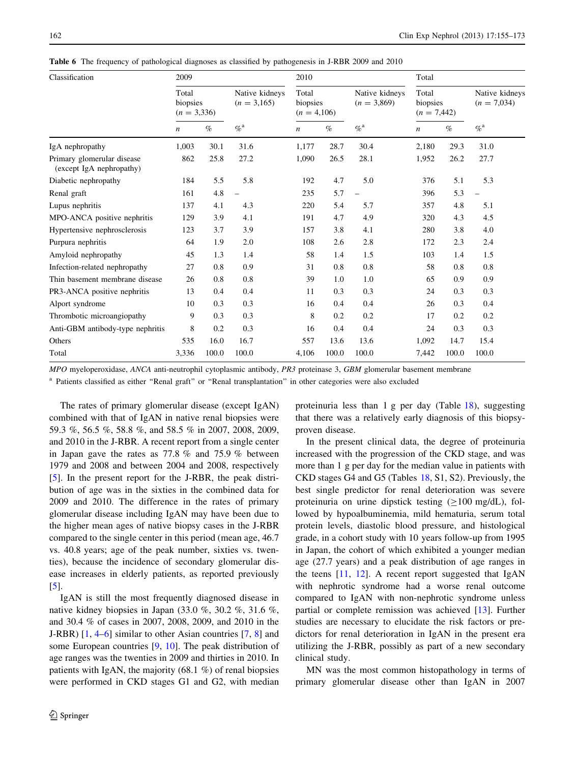<span id="page-7-0"></span>Table 6 The frequency of pathological diagnoses as classified by pathogenesis in J-RBR 2009 and 2010

| Classification                                         | 2009                               |       |                                 | 2010                               |       |                                 | Total                              |       |                                 |
|--------------------------------------------------------|------------------------------------|-------|---------------------------------|------------------------------------|-------|---------------------------------|------------------------------------|-------|---------------------------------|
|                                                        | Total<br>biopsies<br>$(n = 3,336)$ |       | Native kidneys<br>$(n = 3,165)$ | Total<br>biopsies<br>$(n = 4,106)$ |       | Native kidneys<br>$(n = 3,869)$ | Total<br>biopsies<br>$(n = 7,442)$ |       | Native kidneys<br>$(n = 7,034)$ |
|                                                        | $\boldsymbol{n}$                   | $\%$  | $\%^{\rm a}$                    | $\boldsymbol{n}$                   | $\%$  | $\%^{\rm a}$                    | $\boldsymbol{n}$                   | $\%$  | $\%^{\rm a}$                    |
| IgA nephropathy                                        | 1,003                              | 30.1  | 31.6                            | 1,177                              | 28.7  | 30.4                            | 2,180                              | 29.3  | 31.0                            |
| Primary glomerular disease<br>(except IgA nephropathy) | 862                                | 25.8  | 27.2                            | 1,090                              | 26.5  | 28.1                            | 1,952                              | 26.2  | 27.7                            |
| Diabetic nephropathy                                   | 184                                | 5.5   | 5.8                             | 192                                | 4.7   | 5.0                             | 376                                | 5.1   | 5.3                             |
| Renal graft                                            | 161                                | 4.8   |                                 | 235                                | 5.7   |                                 | 396                                | 5.3   |                                 |
| Lupus nephritis                                        | 137                                | 4.1   | 4.3                             | 220                                | 5.4   | 5.7                             | 357                                | 4.8   | 5.1                             |
| MPO-ANCA positive nephritis                            | 129                                | 3.9   | 4.1                             | 191                                | 4.7   | 4.9                             | 320                                | 4.3   | 4.5                             |
| Hypertensive nephrosclerosis                           | 123                                | 3.7   | 3.9                             | 157                                | 3.8   | 4.1                             | 280                                | 3.8   | 4.0                             |
| Purpura nephritis                                      | 64                                 | 1.9   | 2.0                             | 108                                | 2.6   | 2.8                             | 172                                | 2.3   | 2.4                             |
| Amyloid nephropathy                                    | 45                                 | 1.3   | 1.4                             | 58                                 | 1.4   | 1.5                             | 103                                | 1.4   | 1.5                             |
| Infection-related nephropathy                          | 27                                 | 0.8   | 0.9                             | 31                                 | 0.8   | 0.8                             | 58                                 | 0.8   | 0.8                             |
| Thin basement membrane disease                         | 26                                 | 0.8   | 0.8                             | 39                                 | 1.0   | 1.0                             | 65                                 | 0.9   | 0.9                             |
| PR3-ANCA positive nephritis                            | 13                                 | 0.4   | 0.4                             | 11                                 | 0.3   | 0.3                             | 24                                 | 0.3   | 0.3                             |
| Alport syndrome                                        | 10                                 | 0.3   | 0.3                             | 16                                 | 0.4   | 0.4                             | 26                                 | 0.3   | 0.4                             |
| Thrombotic microangiopathy                             | 9                                  | 0.3   | 0.3                             | 8                                  | 0.2   | 0.2                             | 17                                 | 0.2   | 0.2                             |
| Anti-GBM antibody-type nephritis                       | 8                                  | 0.2   | 0.3                             | 16                                 | 0.4   | 0.4                             | 24                                 | 0.3   | 0.3                             |
| Others                                                 | 535                                | 16.0  | 16.7                            | 557                                | 13.6  | 13.6                            | 1,092                              | 14.7  | 15.4                            |
| Total                                                  | 3,336                              | 100.0 | 100.0                           | 4,106                              | 100.0 | 100.0                           | 7,442                              | 100.0 | 100.0                           |

MPO myeloperoxidase, ANCA anti-neutrophil cytoplasmic antibody, PR3 proteinase 3, GBM glomerular basement membrane

<sup>a</sup> Patients classified as either "Renal graft" or "Renal transplantation" in other categories were also excluded

The rates of primary glomerular disease (except IgAN) combined with that of IgAN in native renal biopsies were 59.3 %, 56.5 %, 58.8 %, and 58.5 % in 2007, 2008, 2009, and 2010 in the J-RBR. A recent report from a single center in Japan gave the rates as 77.8 % and 75.9 % between 1979 and 2008 and between 2004 and 2008, respectively [\[5](#page-18-0)]. In the present report for the J-RBR, the peak distribution of age was in the sixties in the combined data for 2009 and 2010. The difference in the rates of primary glomerular disease including IgAN may have been due to the higher mean ages of native biopsy cases in the J-RBR compared to the single center in this period (mean age, 46.7 vs. 40.8 years; age of the peak number, sixties vs. twenties), because the incidence of secondary glomerular disease increases in elderly patients, as reported previously [\[5](#page-18-0)].

IgAN is still the most frequently diagnosed disease in native kidney biopsies in Japan (33.0 %, 30.2 %, 31.6 %, and 30.4 % of cases in 2007, 2008, 2009, and 2010 in the J-RBR) [[1,](#page-18-0) [4](#page-18-0)–[6\]](#page-18-0) similar to other Asian countries [\[7](#page-18-0), [8](#page-18-0)] and some European countries [\[9](#page-18-0), [10](#page-18-0)]. The peak distribution of age ranges was the twenties in 2009 and thirties in 2010. In patients with IgAN, the majority (68.1 %) of renal biopsies were performed in CKD stages G1 and G2, with median

proteinuria less than 1 g per day (Table [18\)](#page-13-0), suggesting that there was a relatively early diagnosis of this biopsyproven disease.

In the present clinical data, the degree of proteinuria increased with the progression of the CKD stage, and was more than 1 g per day for the median value in patients with CKD stages G4 and G5 (Tables [18](#page-13-0), S1, S2). Previously, the best single predictor for renal deterioration was severe proteinuria on urine dipstick testing  $(\geq 100 \text{ mg/dL})$ , followed by hypoalbuminemia, mild hematuria, serum total protein levels, diastolic blood pressure, and histological grade, in a cohort study with 10 years follow-up from 1995 in Japan, the cohort of which exhibited a younger median age (27.7 years) and a peak distribution of age ranges in the teens  $[11, 12]$  $[11, 12]$  $[11, 12]$  $[11, 12]$ . A recent report suggested that IgAN with nephrotic syndrome had a worse renal outcome compared to IgAN with non-nephrotic syndrome unless partial or complete remission was achieved [[13\]](#page-18-0). Further studies are necessary to elucidate the risk factors or predictors for renal deterioration in IgAN in the present era utilizing the J-RBR, possibly as part of a new secondary clinical study.

MN was the most common histopathology in terms of primary glomerular disease other than IgAN in 2007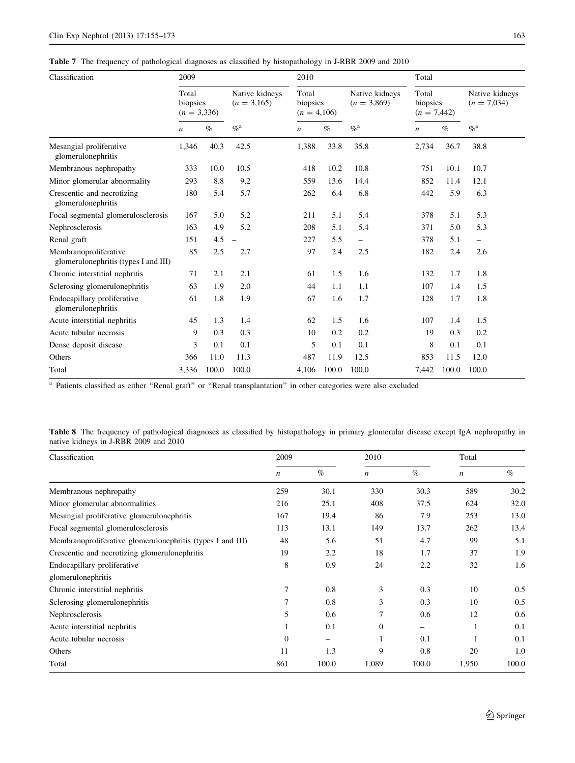<span id="page-8-0"></span>Table 7 The frequency of pathological diagnoses as classified by histopathology in J-RBR 2009 and 2010

| Classification                                                | 2009                               |       |                                 | 2010                               |       |                                 | Total                              |       |                                 |
|---------------------------------------------------------------|------------------------------------|-------|---------------------------------|------------------------------------|-------|---------------------------------|------------------------------------|-------|---------------------------------|
|                                                               | Total<br>biopsies<br>$(n = 3,336)$ |       | Native kidneys<br>$(n = 3,165)$ | Total<br>biopsies<br>$(n = 4,106)$ |       | Native kidneys<br>$(n = 3,869)$ | Total<br>biopsies<br>$(n = 7,442)$ |       | Native kidneys<br>$(n = 7,034)$ |
|                                                               | $\boldsymbol{n}$                   | $\%$  | $\%$ <sup>a</sup>               | $\boldsymbol{n}$                   | $\%$  | $\%^{\rm a}$                    | $\boldsymbol{n}$                   | $\%$  | $\%^{\rm a}$                    |
| Mesangial proliferative<br>glomerulonephritis                 | 1,346                              | 40.3  | 42.5                            | 1,388                              | 33.8  | 35.8                            | 2,734                              | 36.7  | 38.8                            |
| Membranous nephropathy                                        | 333                                | 10.0  | 10.5                            | 418                                | 10.2  | 10.8                            | 751                                | 10.1  | 10.7                            |
| Minor glomerular abnormality                                  | 293                                | 8.8   | 9.2                             | 559                                | 13.6  | 14.4                            | 852                                | 11.4  | 12.1                            |
| Crescentic and necrotizing<br>glomerulonephritis              | 180                                | 5.4   | 5.7                             | 262                                | 6.4   | 6.8                             | 442                                | 5.9   | 6.3                             |
| Focal segmental glomerulosclerosis                            | 167                                | 5.0   | 5.2                             | 211                                | 5.1   | 5.4                             | 378                                | 5.1   | 5.3                             |
| Nephrosclerosis                                               | 163                                | 4.9   | 5.2                             | 208                                | 5.1   | 5.4                             | 371                                | 5.0   | 5.3                             |
| Renal graft                                                   | 151                                | 4.5   |                                 | 227                                | 5.5   | $\overline{\phantom{0}}$        | 378                                | 5.1   | $\overline{\phantom{0}}$        |
| Membranoproliferative<br>glomerulonephritis (types I and III) | 85                                 | 2.5   | 2.7                             | 97                                 | 2.4   | 2.5                             | 182                                | 2.4   | 2.6                             |
| Chronic interstitial nephritis                                | 71                                 | 2.1   | 2.1                             | 61                                 | 1.5   | 1.6                             | 132                                | 1.7   | 1.8                             |
| Sclerosing glomerulonephritis                                 | 63                                 | 1.9   | 2.0                             | 44                                 | 1.1   | 1.1                             | 107                                | 1.4   | 1.5                             |
| Endocapillary proliferative<br>glomerulonephritis             | 61                                 | 1.8   | 1.9                             | 67                                 | 1.6   | 1.7                             | 128                                | 1.7   | 1.8                             |
| Acute interstitial nephritis                                  | 45                                 | 1.3   | 1.4                             | 62                                 | 1.5   | 1.6                             | 107                                | 1.4   | 1.5                             |
| Acute tubular necrosis                                        | 9                                  | 0.3   | 0.3                             | 10                                 | 0.2   | 0.2                             | 19                                 | 0.3   | 0.2                             |
| Dense deposit disease                                         | 3                                  | 0.1   | 0.1                             | 5                                  | 0.1   | 0.1                             | 8                                  | 0.1   | 0.1                             |
| Others                                                        | 366                                | 11.0  | 11.3                            | 487                                | 11.9  | 12.5                            | 853                                | 11.5  | 12.0                            |
| Total                                                         | 3,336                              | 100.0 | 100.0                           | 4,106                              | 100.0 | 100.0                           | 7,442                              | 100.0 | 100.0                           |

<sup>a</sup> Patients classified as either "Renal graft" or "Renal transplantation" in other categories were also excluded

Table 8 The frequency of pathological diagnoses as classified by histopathology in primary glomerular disease except IgA nephropathy in native kidneys in J-RBR 2009 and 2010

| Classification                                             | 2009             |       | 2010             |       | Total            |       |
|------------------------------------------------------------|------------------|-------|------------------|-------|------------------|-------|
|                                                            | $\boldsymbol{n}$ | $\%$  | $\boldsymbol{n}$ | $\%$  | $\boldsymbol{n}$ | $\%$  |
| Membranous nephropathy                                     | 259              | 30.1  | 330              | 30.3  | 589              | 30.2  |
| Minor glomerular abnormalities                             | 216              | 25.1  | 408              | 37.5  | 624              | 32.0  |
| Mesangial proliferative glomerulonephritis                 | 167              | 19.4  | 86               | 7.9   | 253              | 13.0  |
| Focal segmental glomerulosclerosis                         | 113              | 13.1  | 149              | 13.7  | 262              | 13.4  |
| Membranoproliferative glomerulonephritis (types I and III) | 48               | 5.6   | 51               | 4.7   | 99               | 5.1   |
| Crescentic and necrotizing glomerulonephritis              | 19               | 2.2   | 18               | 1.7   | 37               | 1.9   |
| Endocapillary proliferative                                | 8                | 0.9   | 24               | 2.2   | 32               | 1.6   |
| glomerulonephritis                                         |                  |       |                  |       |                  |       |
| Chronic interstitial nephritis                             | 7                | 0.8   | 3                | 0.3   | 10               | 0.5   |
| Sclerosing glomerulonephritis                              | 7                | 0.8   | 3                | 0.3   | 10               | 0.5   |
| Nephrosclerosis                                            | 5                | 0.6   | 7                | 0.6   | 12               | 0.6   |
| Acute interstitial nephritis                               |                  | 0.1   | $\mathbf{0}$     | -     | 1                | 0.1   |
| Acute tubular necrosis                                     | $\mathbf{0}$     |       |                  | 0.1   |                  | 0.1   |
| Others                                                     | 11               | 1.3   | 9                | 0.8   | 20               | 1.0   |
| Total                                                      | 861              | 100.0 | 1,089            | 100.0 | 1,950            | 100.0 |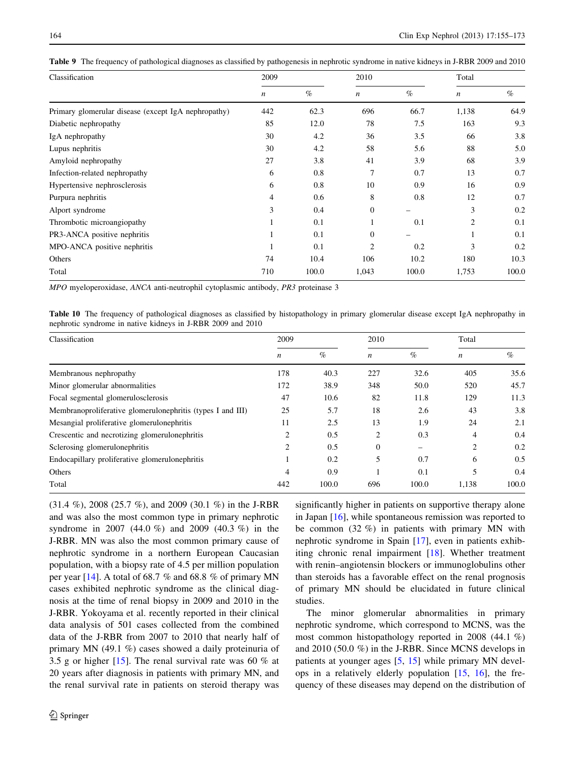| Classification                                      | 2009             |       | 2010             |       | Total            |       |
|-----------------------------------------------------|------------------|-------|------------------|-------|------------------|-------|
|                                                     | $\boldsymbol{n}$ | $\%$  | $\boldsymbol{n}$ | $\%$  | $\boldsymbol{n}$ | $\%$  |
| Primary glomerular disease (except IgA nephropathy) | 442              | 62.3  | 696              | 66.7  | 1,138            | 64.9  |
| Diabetic nephropathy                                | 85               | 12.0  | 78               | 7.5   | 163              | 9.3   |
| IgA nephropathy                                     | 30               | 4.2   | 36               | 3.5   | 66               | 3.8   |
| Lupus nephritis                                     | 30               | 4.2   | 58               | 5.6   | 88               | 5.0   |
| Amyloid nephropathy                                 | 27               | 3.8   | 41               | 3.9   | 68               | 3.9   |
| Infection-related nephropathy                       | 6                | 0.8   | 7                | 0.7   | 13               | 0.7   |
| Hypertensive nephrosclerosis                        | 6                | 0.8   | 10               | 0.9   | 16               | 0.9   |
| Purpura nephritis                                   | 4                | 0.6   | 8                | 0.8   | 12               | 0.7   |
| Alport syndrome                                     | 3                | 0.4   | $\mathbf{0}$     |       | 3                | 0.2   |
| Thrombotic microangiopathy                          |                  | 0.1   |                  | 0.1   | $\overline{2}$   | 0.1   |
| PR3-ANCA positive nephritis                         |                  | 0.1   | $\theta$         |       |                  | 0.1   |
| MPO-ANCA positive nephritis                         |                  | 0.1   | $\overline{2}$   | 0.2   | 3                | 0.2   |
| Others                                              | 74               | 10.4  | 106              | 10.2  | 180              | 10.3  |
| Total                                               | 710              | 100.0 | 1,043            | 100.0 | 1,753            | 100.0 |

<span id="page-9-0"></span>Table 9 The frequency of pathological diagnoses as classified by pathogenesis in nephrotic syndrome in native kidneys in J-RBR 2009 and 2010

MPO myeloperoxidase, ANCA anti-neutrophil cytoplasmic antibody, PR3 proteinase 3

Table 10 The frequency of pathological diagnoses as classified by histopathology in primary glomerular disease except IgA nephropathy in nephrotic syndrome in native kidneys in J-RBR 2009 and 2010

| Classification                                             | 2009             |       | 2010             |       | Total            |       |
|------------------------------------------------------------|------------------|-------|------------------|-------|------------------|-------|
|                                                            | $\boldsymbol{n}$ | $\%$  | $\boldsymbol{n}$ | $\%$  | $\boldsymbol{n}$ | $\%$  |
| Membranous nephropathy                                     | 178              | 40.3  | 227              | 32.6  | 405              | 35.6  |
| Minor glomerular abnormalities                             | 172              | 38.9  | 348              | 50.0  | 520              | 45.7  |
| Focal segmental glomerulosclerosis                         | 47               | 10.6  | 82               | 11.8  | 129              | 11.3  |
| Membranoproliferative glomerulonephritis (types I and III) | 25               | 5.7   | 18               | 2.6   | 43               | 3.8   |
| Mesangial proliferative glomerulonephritis                 | 11               | 2.5   | 13               | 1.9   | 24               | 2.1   |
| Crescentic and necrotizing glomerulonephritis              | 2                | 0.5   | $\overline{2}$   | 0.3   | $\overline{4}$   | 0.4   |
| Sclerosing glomerulonephritis                              | $\overline{c}$   | 0.5   | $\Omega$         | -     | 2                | 0.2   |
| Endocapillary proliferative glomerulonephritis             |                  | 0.2   | 5                | 0.7   | 6                | 0.5   |
| Others                                                     | 4                | 0.9   |                  | 0.1   | 5                | 0.4   |
| Total                                                      | 442              | 100.0 | 696              | 100.0 | 1.138            | 100.0 |

(31.4 %), 2008 (25.7 %), and 2009 (30.1 %) in the J-RBR and was also the most common type in primary nephrotic syndrome in 2007 (44.0 %) and 2009 (40.3 %) in the J-RBR. MN was also the most common primary cause of nephrotic syndrome in a northern European Caucasian population, with a biopsy rate of 4.5 per million population per year [\[14](#page-18-0)]. A total of 68.7 % and 68.8 % of primary MN cases exhibited nephrotic syndrome as the clinical diagnosis at the time of renal biopsy in 2009 and 2010 in the J-RBR. Yokoyama et al. recently reported in their clinical data analysis of 501 cases collected from the combined data of the J-RBR from 2007 to 2010 that nearly half of primary MN (49.1 %) cases showed a daily proteinuria of 3.5 g or higher [\[15](#page-18-0)]. The renal survival rate was 60 % at 20 years after diagnosis in patients with primary MN, and the renal survival rate in patients on steroid therapy was significantly higher in patients on supportive therapy alone in Japan [\[16](#page-18-0)], while spontaneous remission was reported to be common (32 %) in patients with primary MN with nephrotic syndrome in Spain [\[17](#page-18-0)], even in patients exhibiting chronic renal impairment [\[18](#page-18-0)]. Whether treatment with renin–angiotensin blockers or immunoglobulins other than steroids has a favorable effect on the renal prognosis of primary MN should be elucidated in future clinical studies.

The minor glomerular abnormalities in primary nephrotic syndrome, which correspond to MCNS, was the most common histopathology reported in 2008 (44.1 %) and 2010 (50.0 %) in the J-RBR. Since MCNS develops in patients at younger ages [[5,](#page-18-0) [15\]](#page-18-0) while primary MN develops in a relatively elderly population [\[15](#page-18-0), [16\]](#page-18-0), the frequency of these diseases may depend on the distribution of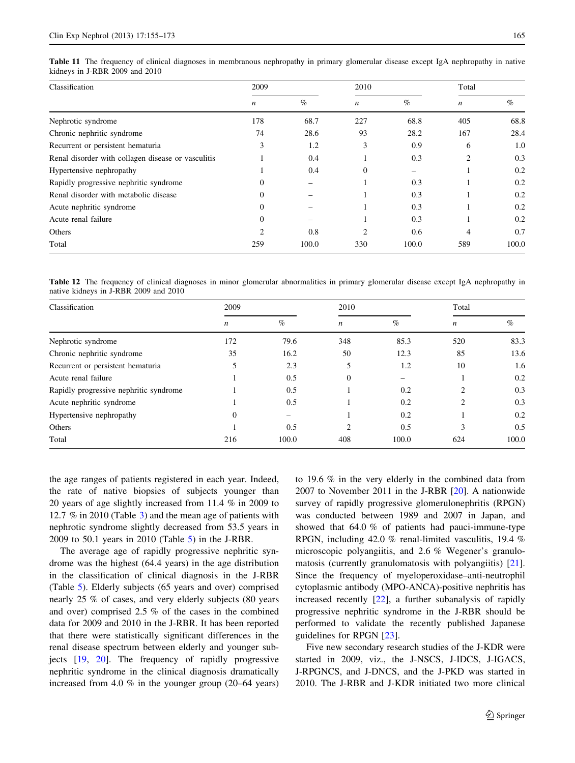<span id="page-10-0"></span>Table 11 The frequency of clinical diagnoses in membranous nephropathy in primary glomerular disease except IgA nephropathy in native kidneys in J-RBR 2009 and 2010

| Classification                                     | 2009             |       | 2010             |       | Total            |       |
|----------------------------------------------------|------------------|-------|------------------|-------|------------------|-------|
|                                                    | $\boldsymbol{n}$ | $\%$  | $\boldsymbol{n}$ | $\%$  | $\boldsymbol{n}$ | $\%$  |
| Nephrotic syndrome                                 | 178              | 68.7  | 227              | 68.8  | 405              | 68.8  |
| Chronic nephritic syndrome                         | 74               | 28.6  | 93               | 28.2  | 167              | 28.4  |
| Recurrent or persistent hematuria                  | 3                | 1.2   | 3                | 0.9   | 6                | 1.0   |
| Renal disorder with collagen disease or vasculitis |                  | 0.4   |                  | 0.3   | 2                | 0.3   |
| Hypertensive nephropathy                           |                  | 0.4   | $\Omega$         |       |                  | 0.2   |
| Rapidly progressive nephritic syndrome             |                  |       |                  | 0.3   |                  | 0.2   |
| Renal disorder with metabolic disease              | $\Omega$         |       |                  | 0.3   |                  | 0.2   |
| Acute nephritic syndrome                           | 0                |       |                  | 0.3   |                  | 0.2   |
| Acute renal failure                                | $\Omega$         |       |                  | 0.3   |                  | 0.2   |
| Others                                             | $\mathfrak{D}$   | 0.8   | $\overline{c}$   | 0.6   | 4                | 0.7   |
| Total                                              | 259              | 100.0 | 330              | 100.0 | 589              | 100.0 |

Table 12 The frequency of clinical diagnoses in minor glomerular abnormalities in primary glomerular disease except IgA nephropathy in native kidneys in J-RBR 2009 and 2010

| Classification                         | 2009     |       | 2010                        |       | Total            |       |
|----------------------------------------|----------|-------|-----------------------------|-------|------------------|-------|
|                                        | n        | $\%$  | $\boldsymbol{n}$            | $\%$  | $\boldsymbol{n}$ | $\%$  |
| Nephrotic syndrome                     | 172      | 79.6  | 348                         | 85.3  | 520              | 83.3  |
| Chronic nephritic syndrome             | 35       | 16.2  | 50                          | 12.3  | 85               | 13.6  |
| Recurrent or persistent hematuria      |          | 2.3   | 5                           | 1.2   | 10               | 1.6   |
| Acute renal failure                    |          | 0.5   | $\Omega$                    |       |                  | 0.2   |
| Rapidly progressive nephritic syndrome |          | 0.5   |                             | 0.2   |                  | 0.3   |
| Acute nephritic syndrome               |          | 0.5   |                             | 0.2   |                  | 0.3   |
| Hypertensive nephropathy               | $\Omega$ |       |                             | 0.2   |                  | 0.2   |
| Others                                 |          | 0.5   | $\mathcal{D}_{\mathcal{L}}$ | 0.5   | 3                | 0.5   |
| Total                                  | 216      | 100.0 | 408                         | 100.0 | 624              | 100.0 |

the age ranges of patients registered in each year. Indeed, the rate of native biopsies of subjects younger than 20 years of age slightly increased from 11.4 % in 2009 to 12.7 % in 2010 (Table [3](#page-4-0)) and the mean age of patients with nephrotic syndrome slightly decreased from 53.5 years in 2009 to 50.1 years in 2010 (Table [5\)](#page-6-0) in the J-RBR.

The average age of rapidly progressive nephritic syndrome was the highest (64.4 years) in the age distribution in the classification of clinical diagnosis in the J-RBR (Table [5](#page-6-0)). Elderly subjects (65 years and over) comprised nearly 25 % of cases, and very elderly subjects (80 years and over) comprised 2.5 % of the cases in the combined data for 2009 and 2010 in the J-RBR. It has been reported that there were statistically significant differences in the renal disease spectrum between elderly and younger subjects [[19,](#page-18-0) [20](#page-18-0)]. The frequency of rapidly progressive nephritic syndrome in the clinical diagnosis dramatically increased from 4.0 % in the younger group (20–64 years)

to 19.6 % in the very elderly in the combined data from 2007 to November 2011 in the J-RBR [\[20](#page-18-0)]. A nationwide survey of rapidly progressive glomerulonephritis (RPGN) was conducted between 1989 and 2007 in Japan, and showed that 64.0 % of patients had pauci-immune-type RPGN, including 42.0 % renal-limited vasculitis, 19.4 % microscopic polyangiitis, and 2.6 % Wegener's granulomatosis (currently granulomatosis with polyangiitis) [\[21](#page-18-0)]. Since the frequency of myeloperoxidase–anti-neutrophil cytoplasmic antibody (MPO-ANCA)-positive nephritis has increased recently [\[22](#page-18-0)], a further subanalysis of rapidly progressive nephritic syndrome in the J-RBR should be performed to validate the recently published Japanese guidelines for RPGN [[23\]](#page-18-0).

Five new secondary research studies of the J-KDR were started in 2009, viz., the J-NSCS, J-IDCS, J-IGACS, J-RPGNCS, and J-DNCS, and the J-PKD was started in 2010. The J-RBR and J-KDR initiated two more clinical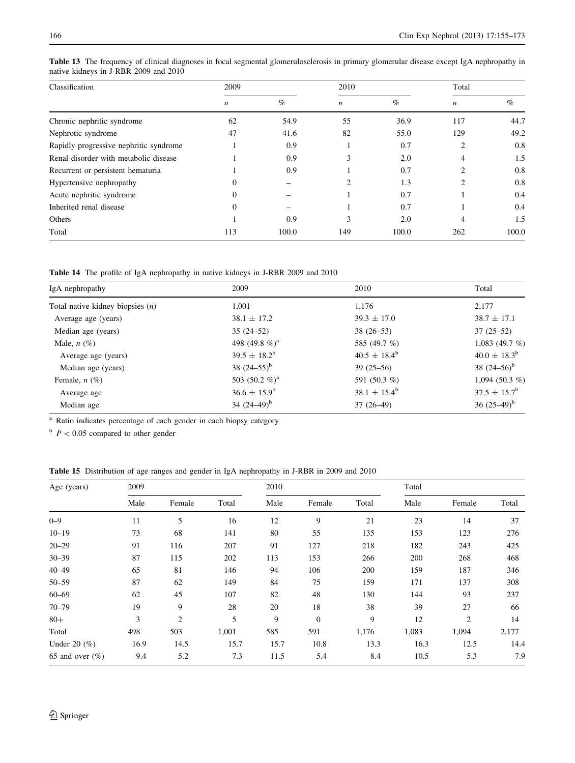| Classification                         | 2009     |       | 2010             |       | Total                       |       |
|----------------------------------------|----------|-------|------------------|-------|-----------------------------|-------|
|                                        | n        | $\%$  | $\boldsymbol{n}$ | $\%$  | $\boldsymbol{n}$            | $\%$  |
| Chronic nephritic syndrome             | 62       | 54.9  | 55               | 36.9  | 117                         | 44.7  |
| Nephrotic syndrome                     | 47       | 41.6  | 82               | 55.0  | 129                         | 49.2  |
| Rapidly progressive nephritic syndrome |          | 0.9   |                  | 0.7   | $\overline{c}$              | 0.8   |
| Renal disorder with metabolic disease  |          | 0.9   | 3                | 2.0   | 4                           | 1.5   |
| Recurrent or persistent hematuria      |          | 0.9   |                  | 0.7   | 2                           | 0.8   |
| Hypertensive nephropathy               | $\Omega$ |       | $\mathfrak{D}$   | 1.3   | $\mathcal{D}_{\mathcal{L}}$ | 0.8   |
| Acute nephritic syndrome               | $\Omega$ |       |                  | 0.7   |                             | 0.4   |
| Inherited renal disease                | $\Omega$ |       |                  | 0.7   |                             | 0.4   |
| Others                                 |          | 0.9   | 3                | 2.0   | 4                           | 1.5   |
| Total                                  | 113      | 100.0 | 149              | 100.0 | 262                         | 100.0 |

<span id="page-11-0"></span>Table 13 The frequency of clinical diagnoses in focal segmental glomerulosclerosis in primary glomerular disease except IgA nephropathy in native kidneys in J-RBR 2009 and 2010

Table 14 The profile of IgA nephropathy in native kidneys in J-RBR 2009 and 2010

| IgA nephropathy                    | 2009                      | 2010                    | Total                   |
|------------------------------------|---------------------------|-------------------------|-------------------------|
| Total native kidney biopsies $(n)$ | 1,001                     | 1,176                   | 2,177                   |
| Average age (years)                | $38.1 \pm 17.2$           | $39.3 \pm 17.0$         | $38.7 \pm 17.1$         |
| Median age (years)                 | $35(24-52)$               | $38(26-53)$             | $37(25-52)$             |
| Male, $n(\%)$                      | 498 (49.8 %) <sup>a</sup> | 585 (49.7 %)            | 1,083 (49.7 $%$ )       |
| Average age (years)                | $39.5 \pm 18.2^b$         | $40.5 \pm 18.4^{\circ}$ | $40.0 \pm 18.3^{\rm b}$ |
| Median age (years)                 | 38 $(24-55)^{b}$          | $39(25-56)$             | 38 $(24-56)^b$          |
| Female, $n$ $(\%)$                 | 503 (50.2 %) <sup>a</sup> | 591 (50.3 %)            | 1,094 (50.3 $%$ )       |
| Average age                        | $36.6 \pm 15.9^b$         | $38.1 \pm 15.4^b$       | $37.5 \pm 15.7^{\rm b}$ |
| Median age                         | 34 $(24-49)^b$            | $37(26-49)$             | 36 $(25-49)^{b}$        |

<sup>a</sup> Ratio indicates percentage of each gender in each biopsy category

 $b$   $P < 0.05$  compared to other gender

Table 15 Distribution of age ranges and gender in IgA nephropathy in J-RBR in 2009 and 2010

| Age (years)        | 2009 |                |       | 2010 |          |       | Total |                |       |
|--------------------|------|----------------|-------|------|----------|-------|-------|----------------|-------|
|                    | Male | Female         | Total | Male | Female   | Total | Male  | Female         | Total |
| $0 - 9$            | 11   | 5              | 16    | 12   | 9        | 21    | 23    | 14             | 37    |
| $10 - 19$          | 73   | 68             | 141   | 80   | 55       | 135   | 153   | 123            | 276   |
| $20 - 29$          | 91   | 116            | 207   | 91   | 127      | 218   | 182   | 243            | 425   |
| $30 - 39$          | 87   | 115            | 202   | 113  | 153      | 266   | 200   | 268            | 468   |
| $40 - 49$          | 65   | 81             | 146   | 94   | 106      | 200   | 159   | 187            | 346   |
| $50 - 59$          | 87   | 62             | 149   | 84   | 75       | 159   | 171   | 137            | 308   |
| $60 - 69$          | 62   | 45             | 107   | 82   | 48       | 130   | 144   | 93             | 237   |
| $70 - 79$          | 19   | 9              | 28    | 20   | 18       | 38    | 39    | 27             | 66    |
| $80+$              | 3    | $\overline{2}$ | 5     | 9    | $\theta$ | 9     | 12    | $\overline{2}$ | 14    |
| Total              | 498  | 503            | 1,001 | 585  | 591      | 1,176 | 1,083 | 1,094          | 2,177 |
| Under 20 $(\%)$    | 16.9 | 14.5           | 15.7  | 15.7 | 10.8     | 13.3  | 16.3  | 12.5           | 14.4  |
| 65 and over $(\%)$ | 9.4  | 5.2            | 7.3   | 11.5 | 5.4      | 8.4   | 10.5  | 5.3            | 7.9   |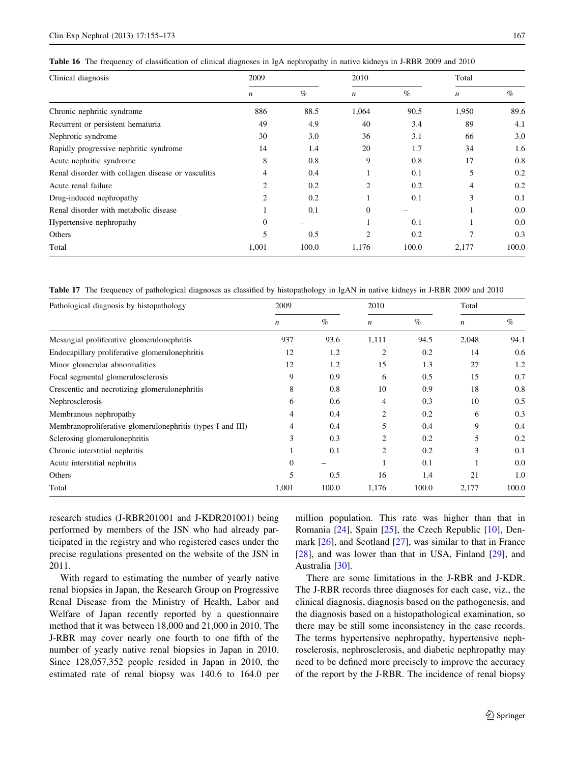<span id="page-12-0"></span>

|  |  | Table 16 The frequency of classification of clinical diagnoses in IgA nephropathy in native kidneys in J-RBR 2009 and 2010 |  |  |  |  |  |  |  |  |  |
|--|--|----------------------------------------------------------------------------------------------------------------------------|--|--|--|--|--|--|--|--|--|
|--|--|----------------------------------------------------------------------------------------------------------------------------|--|--|--|--|--|--|--|--|--|

| Clinical diagnosis                                 | 2009                        |       | 2010             |       | Total            |       |
|----------------------------------------------------|-----------------------------|-------|------------------|-------|------------------|-------|
|                                                    | $\boldsymbol{n}$            | $\%$  | $\boldsymbol{n}$ | $\%$  | $\boldsymbol{n}$ | $\%$  |
| Chronic nephritic syndrome                         | 886                         | 88.5  | 1,064            | 90.5  | 1,950            | 89.6  |
| Recurrent or persistent hematuria                  | 49                          | 4.9   | 40               | 3.4   | 89               | 4.1   |
| Nephrotic syndrome                                 | 30                          | 3.0   | 36               | 3.1   | 66               | 3.0   |
| Rapidly progressive nephritic syndrome             | 14                          | 1.4   | 20               | 1.7   | 34               | 1.6   |
| Acute nephritic syndrome                           | 8                           | 0.8   | 9                | 0.8   | 17               | 0.8   |
| Renal disorder with collagen disease or vasculitis | 4                           | 0.4   |                  | 0.1   | 5                | 0.2   |
| Acute renal failure                                | $\mathcal{D}_{\mathcal{L}}$ | 0.2   | $\overline{c}$   | 0.2   | 4                | 0.2   |
| Drug-induced nephropathy                           | 2                           | 0.2   |                  | 0.1   | 3                | 0.1   |
| Renal disorder with metabolic disease              |                             | 0.1   | $\Omega$         |       |                  | 0.0   |
| Hypertensive nephropathy                           | 0                           |       |                  | 0.1   |                  | 0.0   |
| Others                                             | 5                           | 0.5   | $\overline{c}$   | 0.2   | 7                | 0.3   |
| Total                                              | 1,001                       | 100.0 | 1,176            | 100.0 | 2,177            | 100.0 |

Table 17 The frequency of pathological diagnoses as classified by histopathology in IgAN in native kidneys in J-RBR 2009 and 2010

| Pathological diagnosis by histopathology                   | 2009         |       | 2010             |       | Total            |       |
|------------------------------------------------------------|--------------|-------|------------------|-------|------------------|-------|
|                                                            | n            | $\%$  | $\boldsymbol{n}$ | $\%$  | $\boldsymbol{n}$ | $\%$  |
| Mesangial proliferative glomerulonephritis                 | 937          | 93.6  | 1,111            | 94.5  | 2,048            | 94.1  |
| Endocapillary proliferative glomerulonephritis             | 12           | 1.2   | $\overline{c}$   | 0.2   | 14               | 0.6   |
| Minor glomerular abnormalities                             | 12           | 1.2   | 15               | 1.3   | 27               | 1.2   |
| Focal segmental glomerulosclerosis                         | 9            | 0.9   | 6                | 0.5   | 15               | 0.7   |
| Crescentic and necrotizing glomerulonephritis              | 8            | 0.8   | 10               | 0.9   | 18               | 0.8   |
| Nephrosclerosis                                            | 6            | 0.6   | $\overline{4}$   | 0.3   | 10               | 0.5   |
| Membranous nephropathy                                     | 4            | 0.4   | $\overline{2}$   | 0.2   | 6                | 0.3   |
| Membranoproliferative glomerulonephritis (types I and III) | 4            | 0.4   | 5                | 0.4   | 9                | 0.4   |
| Sclerosing glomerulonephritis                              | 3            | 0.3   | $\mathfrak{D}$   | 0.2   | 5                | 0.2   |
| Chronic interstitial nephritis                             |              | 0.1   | $\overline{c}$   | 0.2   | 3                | 0.1   |
| Acute interstitial nephritis                               | $\mathbf{0}$ |       |                  | 0.1   |                  | 0.0   |
| Others                                                     | 5            | 0.5   | 16               | 1.4   | 21               | 1.0   |
| Total                                                      | 1,001        | 100.0 | 1,176            | 100.0 | 2,177            | 100.0 |

research studies (J-RBR201001 and J-KDR201001) being performed by members of the JSN who had already participated in the registry and who registered cases under the precise regulations presented on the website of the JSN in 2011.

With regard to estimating the number of yearly native renal biopsies in Japan, the Research Group on Progressive Renal Disease from the Ministry of Health, Labor and Welfare of Japan recently reported by a questionnaire method that it was between 18,000 and 21,000 in 2010. The J-RBR may cover nearly one fourth to one fifth of the number of yearly native renal biopsies in Japan in 2010. Since 128,057,352 people resided in Japan in 2010, the estimated rate of renal biopsy was 140.6 to 164.0 per million population. This rate was higher than that in Romania [\[24](#page-18-0)], Spain [\[25](#page-18-0)], the Czech Republic [[10\]](#page-18-0), Denmark [[26\]](#page-18-0), and Scotland [\[27](#page-18-0)], was similar to that in France [\[28](#page-18-0)], and was lower than that in USA, Finland [\[29\]](#page-18-0), and Australia [[30](#page-18-0)].

There are some limitations in the J-RBR and J-KDR. The J-RBR records three diagnoses for each case, viz., the clinical diagnosis, diagnosis based on the pathogenesis, and the diagnosis based on a histopathological examination, so there may be still some inconsistency in the case records. The terms hypertensive nephropathy, hypertensive nephrosclerosis, nephrosclerosis, and diabetic nephropathy may need to be defined more precisely to improve the accuracy of the report by the J-RBR. The incidence of renal biopsy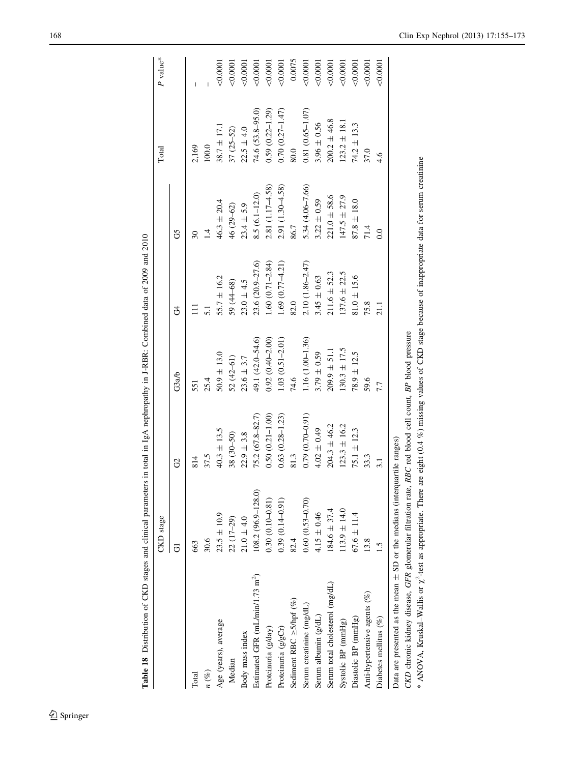<span id="page-13-0"></span>

|                                             | CKD stage           |                      |                     |                     |                     | Total               | $P$ value* |
|---------------------------------------------|---------------------|----------------------|---------------------|---------------------|---------------------|---------------------|------------|
|                                             | $\overline{G}$      | පි                   | G3a/b               | 3                   | GS                  |                     |            |
| Total                                       | 663                 | 814                  | 551                 | Ξ                   | $\overline{30}$     | 2,169               |            |
| $n\; (\%)$                                  | 30.6                | 37.5                 | 25.4                |                     | $\overline{1}$      | 100.0               |            |
| Age (years), average                        | $23.5 \pm 10.9$     | $40.3 \pm 13.5$      | $50.9 \pm 13.0$     | $55.7 \pm 16.2$     | $46.3 \pm 20.4$     | $38.7 \pm 17.1$     | 0.0001     |
| Median                                      | $22(17-29)$         | $38(30-50)$          | $52(42-61)$         | 59 (44-68)          | $46(29 - 62)$       | $37(25 - 52)$       | 0.0001     |
| Body mass index                             | $21.0 \pm 4.0$      | $22.9 \pm 3.8$       | $23.6 \pm 3.7$      | $23.0 \pm 4.5$      | $23.4 \pm 5.9$      | $22.5 \pm 4.0$      | 0.0001     |
| Estimated GFR (mL/min/1.73 m <sup>2</sup> ) | 108.2 (96.9-128.0)  | $75.2(67.8 - 82.7)$  | 49.1 (42.0-54.6)    | 23.6 (20.9-27.6)    | $8.5(6.1 - 12.0)$   | 74.6 (53.8-95.0)    | 0.0001     |
| Proteinuria (g/day)                         | $0.30(0.10 - 0.81)$ | $0.50(0.21 - 1.00)$  | $0.92(0.40 - 2.00)$ | $1.60(0.71 - 2.84)$ | 2.81 (1.17-4.58)    | $0.59(0.22 - 1.29)$ | 0.0001     |
| Proteinuria (g/gCr)                         | $0.39(0.14 - 0.91)$ | $0.63$ $(0.28-1.23)$ | $1.03(0.51 - 2.01)$ | $1.69(0.77 - 4.21)$ | 2.91 (1.30-4.58)    | $0.70(0.27 - 1.47)$ | 0.0001     |
| Sediment RBC $\geq$ 5/hpf (%)               | 82.4                | 81.3                 | 74.6                | 82.0                | 86.7                | 80.0                | 0.0075     |
| Serum creatinine (mg/dL)                    | $0.60(0.53 - 0.70)$ | $0.79(0.70 - 0.91)$  | 1.16 (1.00-1.36)    | $2.10(1.86 - 2.47)$ | $5.34(4.06 - 7.66)$ | $0.81(0.65 - 1.07)$ | 0.0001     |
| Serum albumin (g/dL)                        | $4.15 \pm 0.46$     | $4.02 \pm 0.49$      | $3.79 \pm 0.59$     | $3.45 \pm 0.63$     | $3.22 \pm 0.59$     | $3.96 \pm 0.56$     | 0.0001     |
| Serum total cholesterol (mg/dL)             | $184.6 \pm 37.4$    | $204.3 \pm 46.2$     | $209.9 \pm 51.1$    | $211.6 \pm 52.3$    | $221.0 \pm 58.6$    | $200.2 \pm 46.8$    | 0.0001     |
| Systolic BP (mmHg)                          | $113.9 \pm 14.0$    | $123.3 \pm 16.2$     | $130.3 \pm 17.5$    | $137.6 \pm 22.5$    | $147.5 \pm 27.9$    | $123.2 \pm 18.1$    | 0.0001     |
| Diastolic BP (mmHg)                         | $67.6 \pm 11.4$     | $75.1 \pm 12.3$      | $78.9 \pm 12.5$     | $81.0 \pm 15.6$     | $87.8 \pm 18.0$     | $74.2 \pm 13.3$     | 0.0001     |
| Anti-hypertensive agents (%)                | 13.8                | 33.3                 | 59.6                | 75.8                | 71.4                | 37.0                | 0.0001     |
| Diabetes mellitus (%)                       | S                   |                      |                     | 21.1                | 0.0                 | 4.6                 | 0.0001     |

\* ANOVA, Kruskal–Wallis or  $\chi^2$ -test as appropriate. There are eight (0.4 %) missing values of CKD stage because of inappropriate data for serum creatinine

\* ANOVA, Kruskal-Wallis or  $\chi^2$ -test as appropriate. There are eight (0.4 %) missing values of CKD stage because of inappropriate data for serum creatinine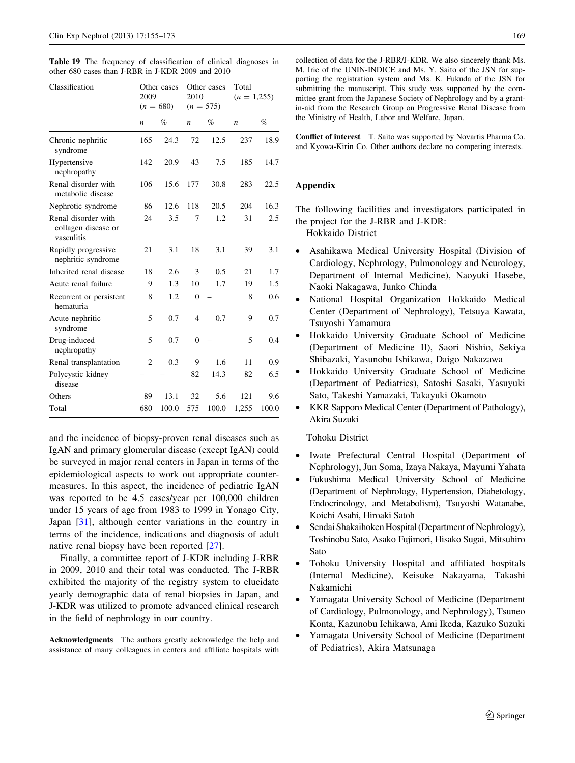<span id="page-14-0"></span>

|  |  | <b>Table 19</b> The frequency of classification of clinical diagnoses in |  |  |
|--|--|--------------------------------------------------------------------------|--|--|
|  |  | other 680 cases than J-RBR in J-KDR 2009 and 2010                        |  |  |

| Classification                                           | 2009             | Other cases<br>$(n = 680)$ | Other cases<br>2010<br>$(n = 575)$ |       | Total<br>$(n = 1,255)$ |               |
|----------------------------------------------------------|------------------|----------------------------|------------------------------------|-------|------------------------|---------------|
|                                                          | $\boldsymbol{n}$ | $\%$                       | $\boldsymbol{n}$                   | $\%$  | $\boldsymbol{n}$       | $\%$          |
| Chronic nephritic<br>syndrome                            | 165              | 24.3                       | 72                                 | 12.5  | 237                    | 18.9          |
| Hypertensive<br>nephropathy                              | 142              | 20.9                       | 43                                 | 7.5   | 185                    | 14.7          |
| Renal disorder with<br>metabolic disease                 | 106              | 15.6                       | 177                                | 30.8  | 283                    | 22.5          |
| Nephrotic syndrome                                       | 86               | 12.6                       | 118                                | 20.5  | 204                    | 16.3          |
| Renal disorder with<br>collagen disease or<br>vasculitis | 24               | 3.5                        | 7                                  | 1.2   | 31                     | 2.5           |
| Rapidly progressive<br>nephritic syndrome                | 21               | 3.1                        | 18                                 | 3.1   | 39                     | 3.1           |
| Inherited renal disease                                  | 18               | 2.6                        | 3                                  | 0.5   | 21                     | 1.7           |
| Acute renal failure                                      | 9                | 1.3                        | 10                                 | 1.7   | 19                     | 1.5           |
| Recurrent or persistent<br>hematuria                     | 8                | 1.2                        | $\theta$                           |       | 8                      | $0.6^{\circ}$ |
| Acute nephritic<br>syndrome                              | 5                | 0.7                        | $\overline{4}$                     | 0.7   | 9                      | 0.7           |
| Drug-induced<br>nephropathy                              | 5                | 0.7                        | $\overline{0}$                     |       | 5                      | 0.4           |
| Renal transplantation                                    | $\overline{2}$   | 0.3                        | 9                                  | 1.6   | 11                     | 0.9           |
| Polycystic kidney<br>disease                             |                  |                            | 82                                 | 14.3  | 82                     | 6.5           |
| Others                                                   | 89               | 13.1                       | 32                                 | 5.6   | 121                    | 9.6           |
| Total                                                    | 680              | 100.0                      | 575                                | 100.0 | 1,255                  | 100.0         |

and the incidence of biopsy-proven renal diseases such as IgAN and primary glomerular disease (except IgAN) could be surveyed in major renal centers in Japan in terms of the epidemiological aspects to work out appropriate countermeasures. In this aspect, the incidence of pediatric IgAN was reported to be 4.5 cases/year per 100,000 children under 15 years of age from 1983 to 1999 in Yonago City, Japan [[31\]](#page-18-0), although center variations in the country in terms of the incidence, indications and diagnosis of adult native renal biopsy have been reported [[27\]](#page-18-0).

Finally, a committee report of J-KDR including J-RBR in 2009, 2010 and their total was conducted. The J-RBR exhibited the majority of the registry system to elucidate yearly demographic data of renal biopsies in Japan, and J-KDR was utilized to promote advanced clinical research in the field of nephrology in our country.

Acknowledgments The authors greatly acknowledge the help and assistance of many colleagues in centers and affiliate hospitals with collection of data for the J-RBR/J-KDR. We also sincerely thank Ms. M. Irie of the UNIN-INDICE and Ms. Y. Saito of the JSN for supporting the registration system and Ms. K. Fukuda of the JSN for submitting the manuscript. This study was supported by the committee grant from the Japanese Society of Nephrology and by a grantin-aid from the Research Group on Progressive Renal Disease from the Ministry of Health, Labor and Welfare, Japan.

Conflict of interest T. Saito was supported by Novartis Pharma Co. and Kyowa-Kirin Co. Other authors declare no competing interests.

## Appendix

The following facilities and investigators participated in the project for the J-RBR and J-KDR:

Hokkaido District

- Asahikawa Medical University Hospital (Division of Cardiology, Nephrology, Pulmonology and Neurology, Department of Internal Medicine), Naoyuki Hasebe, Naoki Nakagawa, Junko Chinda
- National Hospital Organization Hokkaido Medical Center (Department of Nephrology), Tetsuya Kawata, Tsuyoshi Yamamura
- Hokkaido University Graduate School of Medicine (Department of Medicine II), Saori Nishio, Sekiya Shibazaki, Yasunobu Ishikawa, Daigo Nakazawa
- Hokkaido University Graduate School of Medicine (Department of Pediatrics), Satoshi Sasaki, Yasuyuki Sato, Takeshi Yamazaki, Takayuki Okamoto
- KKR Sapporo Medical Center (Department of Pathology), Akira Suzuki

# Tohoku District

- Iwate Prefectural Central Hospital (Department of Nephrology), Jun Soma, Izaya Nakaya, Mayumi Yahata
- Fukushima Medical University School of Medicine (Department of Nephrology, Hypertension, Diabetology, Endocrinology, and Metabolism), Tsuyoshi Watanabe, Koichi Asahi, Hiroaki Satoh
- Sendai Shakaihoken Hospital (Department of Nephrology), Toshinobu Sato, Asako Fujimori, Hisako Sugai, Mitsuhiro Sato
- Tohoku University Hospital and affiliated hospitals (Internal Medicine), Keisuke Nakayama, Takashi Nakamichi
- Yamagata University School of Medicine (Department of Cardiology, Pulmonology, and Nephrology), Tsuneo Konta, Kazunobu Ichikawa, Ami Ikeda, Kazuko Suzuki
- Yamagata University School of Medicine (Department of Pediatrics), Akira Matsunaga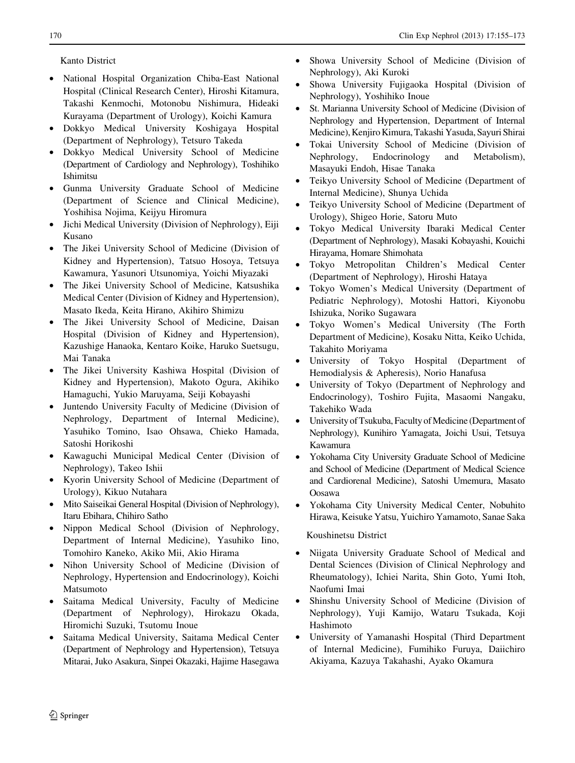# Kanto District

- National Hospital Organization Chiba-East National Hospital (Clinical Research Center), Hiroshi Kitamura, Takashi Kenmochi, Motonobu Nishimura, Hideaki Kurayama (Department of Urology), Koichi Kamura
- Dokkyo Medical University Koshigaya Hospital (Department of Nephrology), Tetsuro Takeda
- Dokkyo Medical University School of Medicine (Department of Cardiology and Nephrology), Toshihiko Ishimitsu
- Gunma University Graduate School of Medicine (Department of Science and Clinical Medicine), Yoshihisa Nojima, Keijyu Hiromura
- Jichi Medical University (Division of Nephrology), Eiji Kusano
- The Jikei University School of Medicine (Division of Kidney and Hypertension), Tatsuo Hosoya, Tetsuya Kawamura, Yasunori Utsunomiya, Yoichi Miyazaki
- The Jikei University School of Medicine, Katsushika Medical Center (Division of Kidney and Hypertension), Masato Ikeda, Keita Hirano, Akihiro Shimizu
- The Jikei University School of Medicine, Daisan Hospital (Division of Kidney and Hypertension), Kazushige Hanaoka, Kentaro Koike, Haruko Suetsugu, Mai Tanaka
- The Jikei University Kashiwa Hospital (Division of Kidney and Hypertension), Makoto Ogura, Akihiko Hamaguchi, Yukio Maruyama, Seiji Kobayashi
- Juntendo University Faculty of Medicine (Division of Nephrology, Department of Internal Medicine), Yasuhiko Tomino, Isao Ohsawa, Chieko Hamada, Satoshi Horikoshi
- Kawaguchi Municipal Medical Center (Division of Nephrology), Takeo Ishii
- Kyorin University School of Medicine (Department of Urology), Kikuo Nutahara
- Mito Saiseikai General Hospital (Division of Nephrology), Itaru Ebihara, Chihiro Satho
- Nippon Medical School (Division of Nephrology, Department of Internal Medicine), Yasuhiko Iino, Tomohiro Kaneko, Akiko Mii, Akio Hirama
- Nihon University School of Medicine (Division of Nephrology, Hypertension and Endocrinology), Koichi Matsumoto
- Saitama Medical University, Faculty of Medicine (Department of Nephrology), Hirokazu Okada, Hiromichi Suzuki, Tsutomu Inoue
- Saitama Medical University, Saitama Medical Center (Department of Nephrology and Hypertension), Tetsuya Mitarai, Juko Asakura, Sinpei Okazaki, Hajime Hasegawa
- Showa University School of Medicine (Division of Nephrology), Aki Kuroki
- Showa University Fujigaoka Hospital (Division of Nephrology), Yoshihiko Inoue
- St. Marianna University School of Medicine (Division of Nephrology and Hypertension, Department of Internal Medicine), Kenjiro Kimura, Takashi Yasuda, Sayuri Shirai
- Tokai University School of Medicine (Division of Nephrology, Endocrinology and Metabolism), Masayuki Endoh, Hisae Tanaka
- Teikyo University School of Medicine (Department of Internal Medicine), Shunya Uchida
- Teikyo University School of Medicine (Department of Urology), Shigeo Horie, Satoru Muto
- Tokyo Medical University Ibaraki Medical Center (Department of Nephrology), Masaki Kobayashi, Kouichi Hirayama, Homare Shimohata
- Tokyo Metropolitan Children's Medical Center (Department of Nephrology), Hiroshi Hataya
- Tokyo Women's Medical University (Department of Pediatric Nephrology), Motoshi Hattori, Kiyonobu Ishizuka, Noriko Sugawara
- Tokyo Women's Medical University (The Forth Department of Medicine), Kosaku Nitta, Keiko Uchida, Takahito Moriyama
- University of Tokyo Hospital (Department of Hemodialysis & Apheresis), Norio Hanafusa
- University of Tokyo (Department of Nephrology and Endocrinology), Toshiro Fujita, Masaomi Nangaku, Takehiko Wada
- University of Tsukuba, Faculty of Medicine (Department of Nephrology), Kunihiro Yamagata, Joichi Usui, Tetsuya Kawamura
- Yokohama City University Graduate School of Medicine and School of Medicine (Department of Medical Science and Cardiorenal Medicine), Satoshi Umemura, Masato Oosawa
- Yokohama City University Medical Center, Nobuhito Hirawa, Keisuke Yatsu, Yuichiro Yamamoto, Sanae Saka

# Koushinetsu District

- Niigata University Graduate School of Medical and Dental Sciences (Division of Clinical Nephrology and Rheumatology), Ichiei Narita, Shin Goto, Yumi Itoh, Naofumi Imai
- Shinshu University School of Medicine (Division of Nephrology), Yuji Kamijo, Wataru Tsukada, Koji Hashimoto
- University of Yamanashi Hospital (Third Department of Internal Medicine), Fumihiko Furuya, Daiichiro Akiyama, Kazuya Takahashi, Ayako Okamura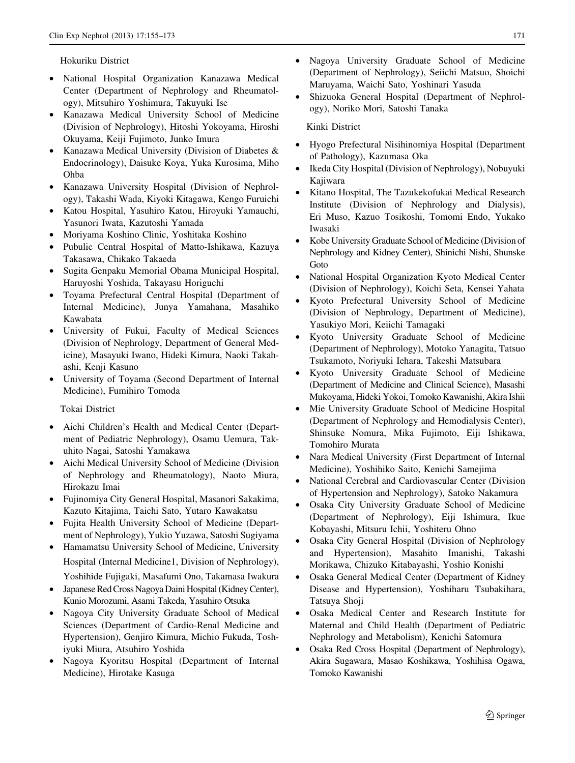# Hokuriku District

- National Hospital Organization Kanazawa Medical Center (Department of Nephrology and Rheumatology), Mitsuhiro Yoshimura, Takuyuki Ise
- Kanazawa Medical University School of Medicine (Division of Nephrology), Hitoshi Yokoyama, Hiroshi Okuyama, Keiji Fujimoto, Junko Imura
- Kanazawa Medical University (Division of Diabetes & Endocrinology), Daisuke Koya, Yuka Kurosima, Miho Ohba
- Kanazawa University Hospital (Division of Nephrology), Takashi Wada, Kiyoki Kitagawa, Kengo Furuichi
- Katou Hospital, Yasuhiro Katou, Hiroyuki Yamauchi, Yasunori Iwata, Kazutoshi Yamada
- Moriyama Koshino Clinic, Yoshitaka Koshino
- Pubulic Central Hospital of Matto-Ishikawa, Kazuya Takasawa, Chikako Takaeda
- Sugita Genpaku Memorial Obama Municipal Hospital, Haruyoshi Yoshida, Takayasu Horiguchi
- Toyama Prefectural Central Hospital (Department of Internal Medicine), Junya Yamahana, Masahiko Kawabata
- University of Fukui, Faculty of Medical Sciences (Division of Nephrology, Department of General Medicine), Masayuki Iwano, Hideki Kimura, Naoki Takahashi, Kenji Kasuno
- University of Toyama (Second Department of Internal Medicine), Fumihiro Tomoda

# Tokai District

- Aichi Children's Health and Medical Center (Department of Pediatric Nephrology), Osamu Uemura, Takuhito Nagai, Satoshi Yamakawa
- Aichi Medical University School of Medicine (Division of Nephrology and Rheumatology), Naoto Miura, Hirokazu Imai
- Fujinomiya City General Hospital, Masanori Sakakima, Kazuto Kitajima, Taichi Sato, Yutaro Kawakatsu
- Fujita Health University School of Medicine (Department of Nephrology), Yukio Yuzawa, Satoshi Sugiyama
- Hamamatsu University School of Medicine, University Hospital (Internal Medicine1, Division of Nephrology), Yoshihide Fujigaki, Masafumi Ono, Takamasa Iwakura
- Japanese Red Cross Nagoya Daini Hospital (Kidney Center), Kunio Morozumi, Asami Takeda, Yasuhiro Otsuka
- Nagoya City University Graduate School of Medical Sciences (Department of Cardio-Renal Medicine and Hypertension), Genjiro Kimura, Michio Fukuda, Toshiyuki Miura, Atsuhiro Yoshida
- Nagoya Kyoritsu Hospital (Department of Internal Medicine), Hirotake Kasuga
- Nagoya University Graduate School of Medicine (Department of Nephrology), Seiichi Matsuo, Shoichi Maruyama, Waichi Sato, Yoshinari Yasuda
- Shizuoka General Hospital (Department of Nephrology), Noriko Mori, Satoshi Tanaka

# Kinki District

- Hyogo Prefectural Nisihinomiya Hospital (Department of Pathology), Kazumasa Oka
- Ikeda City Hospital (Division of Nephrology), Nobuyuki Kajiwara
- Kitano Hospital, The Tazukekofukai Medical Research Institute (Division of Nephrology and Dialysis), Eri Muso, Kazuo Tosikoshi, Tomomi Endo, Yukako Iwasaki
- Kobe University Graduate School of Medicine (Division of Nephrology and Kidney Center), Shinichi Nishi, Shunske Goto
- National Hospital Organization Kyoto Medical Center (Division of Nephrology), Koichi Seta, Kensei Yahata
- Kyoto Prefectural University School of Medicine (Division of Nephrology, Department of Medicine), Yasukiyo Mori, Keiichi Tamagaki
- Kyoto University Graduate School of Medicine (Department of Nephrology), Motoko Yanagita, Tatsuo Tsukamoto, Noriyuki Iehara, Takeshi Matsubara
- Kyoto University Graduate School of Medicine (Department of Medicine and Clinical Science), Masashi Mukoyama, Hideki Yokoi, Tomoko Kawanishi, Akira Ishii
- Mie University Graduate School of Medicine Hospital (Department of Nephrology and Hemodialysis Center), Shinsuke Nomura, Mika Fujimoto, Eiji Ishikawa, Tomohiro Murata
- Nara Medical University (First Department of Internal Medicine), Yoshihiko Saito, Kenichi Samejima
- National Cerebral and Cardiovascular Center (Division of Hypertension and Nephrology), Satoko Nakamura
- Osaka City University Graduate School of Medicine (Department of Nephrology), Eiji Ishimura, Ikue Kobayashi, Mitsuru Ichii, Yoshiteru Ohno
- Osaka City General Hospital (Division of Nephrology and Hypertension), Masahito Imanishi, Takashi Morikawa, Chizuko Kitabayashi, Yoshio Konishi
- Osaka General Medical Center (Department of Kidney Disease and Hypertension), Yoshiharu Tsubakihara, Tatsuya Shoji
- Osaka Medical Center and Research Institute for Maternal and Child Health (Department of Pediatric Nephrology and Metabolism), Kenichi Satomura
- Osaka Red Cross Hospital (Department of Nephrology), Akira Sugawara, Masao Koshikawa, Yoshihisa Ogawa, Tomoko Kawanishi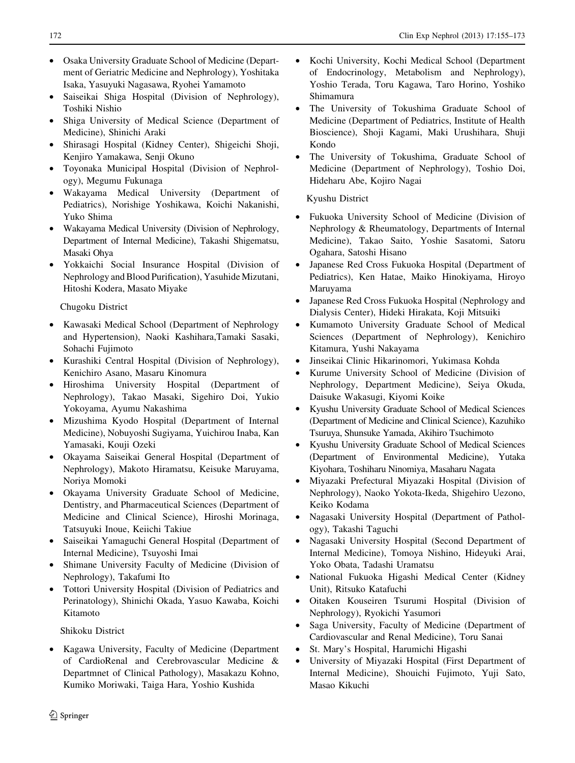- Osaka University Graduate School of Medicine (Department of Geriatric Medicine and Nephrology), Yoshitaka Isaka, Yasuyuki Nagasawa, Ryohei Yamamoto
- Saiseikai Shiga Hospital (Division of Nephrology), Toshiki Nishio
- Shiga University of Medical Science (Department of Medicine), Shinichi Araki
- Shirasagi Hospital (Kidney Center), Shigeichi Shoji, Kenjiro Yamakawa, Senji Okuno
- Toyonaka Municipal Hospital (Division of Nephrology), Megumu Fukunaga
- Wakayama Medical University (Department of Pediatrics), Norishige Yoshikawa, Koichi Nakanishi, Yuko Shima
- Wakayama Medical University (Division of Nephrology, Department of Internal Medicine), Takashi Shigematsu, Masaki Ohya
- Yokkaichi Social Insurance Hospital (Division of Nephrology and Blood Purification), Yasuhide Mizutani, Hitoshi Kodera, Masato Miyake

Chugoku District

- Kawasaki Medical School (Department of Nephrology and Hypertension), Naoki Kashihara,Tamaki Sasaki, Sohachi Fujimoto
- Kurashiki Central Hospital (Division of Nephrology), Kenichiro Asano, Masaru Kinomura
- Hiroshima University Hospital (Department of Nephrology), Takao Masaki, Sigehiro Doi, Yukio Yokoyama, Ayumu Nakashima
- Mizushima Kyodo Hospital (Department of Internal Medicine), Nobuyoshi Sugiyama, Yuichirou Inaba, Kan Yamasaki, Kouji Ozeki
- Okayama Saiseikai General Hospital (Department of Nephrology), Makoto Hiramatsu, Keisuke Maruyama, Noriya Momoki
- Okayama University Graduate School of Medicine, Dentistry, and Pharmaceutical Sciences (Department of Medicine and Clinical Science), Hiroshi Morinaga, Tatsuyuki Inoue, Keiichi Takiue
- Saiseikai Yamaguchi General Hospital (Department of Internal Medicine), Tsuyoshi Imai
- Shimane University Faculty of Medicine (Division of Nephrology), Takafumi Ito
- Tottori University Hospital (Division of Pediatrics and Perinatology), Shinichi Okada, Yasuo Kawaba, Koichi Kitamoto

Shikoku District

• Kagawa University, Faculty of Medicine (Department of CardioRenal and Cerebrovascular Medicine & Departmnet of Clinical Pathology), Masakazu Kohno, Kumiko Moriwaki, Taiga Hara, Yoshio Kushida

- Kochi University, Kochi Medical School (Department of Endocrinology, Metabolism and Nephrology), Yoshio Terada, Toru Kagawa, Taro Horino, Yoshiko Shimamura
- The University of Tokushima Graduate School of Medicine (Department of Pediatrics, Institute of Health Bioscience), Shoji Kagami, Maki Urushihara, Shuji Kondo
- The University of Tokushima, Graduate School of Medicine (Department of Nephrology), Toshio Doi, Hideharu Abe, Kojiro Nagai

Kyushu District

- Fukuoka University School of Medicine (Division of Nephrology & Rheumatology, Departments of Internal Medicine), Takao Saito, Yoshie Sasatomi, Satoru Ogahara, Satoshi Hisano
- Japanese Red Cross Fukuoka Hospital (Department of Pediatrics), Ken Hatae, Maiko Hinokiyama, Hiroyo Maruyama
- Japanese Red Cross Fukuoka Hospital (Nephrology and Dialysis Center), Hideki Hirakata, Koji Mitsuiki
- Kumamoto University Graduate School of Medical Sciences (Department of Nephrology), Kenichiro Kitamura, Yushi Nakayama
- Jinseikai Clinic Hikarinomori, Yukimasa Kohda
- Kurume University School of Medicine (Division of Nephrology, Department Medicine), Seiya Okuda, Daisuke Wakasugi, Kiyomi Koike
- Kyushu University Graduate School of Medical Sciences (Department of Medicine and Clinical Science), Kazuhiko Tsuruya, Shunsuke Yamada, Akihiro Tsuchimoto
- Kyushu University Graduate School of Medical Sciences (Department of Environmental Medicine), Yutaka Kiyohara, Toshiharu Ninomiya, Masaharu Nagata
- Miyazaki Prefectural Miyazaki Hospital (Division of Nephrology), Naoko Yokota-Ikeda, Shigehiro Uezono, Keiko Kodama
- Nagasaki University Hospital (Department of Pathology), Takashi Taguchi
- Nagasaki University Hospital (Second Department of Internal Medicine), Tomoya Nishino, Hideyuki Arai, Yoko Obata, Tadashi Uramatsu
- National Fukuoka Higashi Medical Center (Kidney Unit), Ritsuko Katafuchi
- Oitaken Kouseiren Tsurumi Hospital (Division of Nephrology), Ryokichi Yasumori
- Saga University, Faculty of Medicine (Department of Cardiovascular and Renal Medicine), Toru Sanai
- St. Mary's Hospital, Harumichi Higashi
- University of Miyazaki Hospital (First Department of Internal Medicine), Shouichi Fujimoto, Yuji Sato, Masao Kikuchi